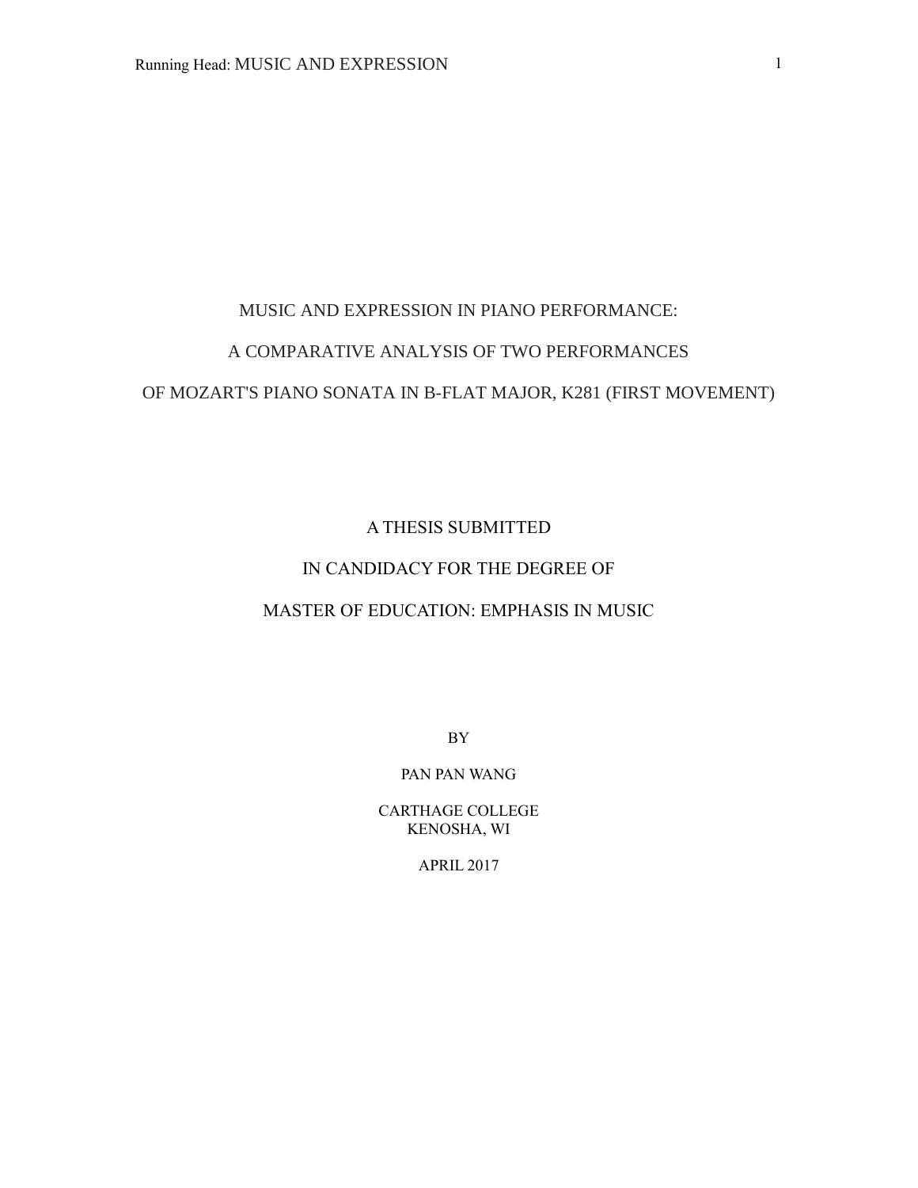### MUSIC AND EXPRESSION IN PIANO PERFORMANCE:

# A COMPARATIVE ANALYSIS OF TWO PERFORMANCES

# OF MOZART'S PIANO SONATA IN B-FLAT MAJOR, K281 (FIRST MOVEMENT)

# A THESIS SUBMITTED

# IN CANDIDACY FOR THE DEGREE OF

# MASTER OF EDUCATION: EMPHASIS IN MUSIC

BY

### PAN PAN WANG

CARTHAGE COLLEGE KENOSHA, WI

APRIL 2017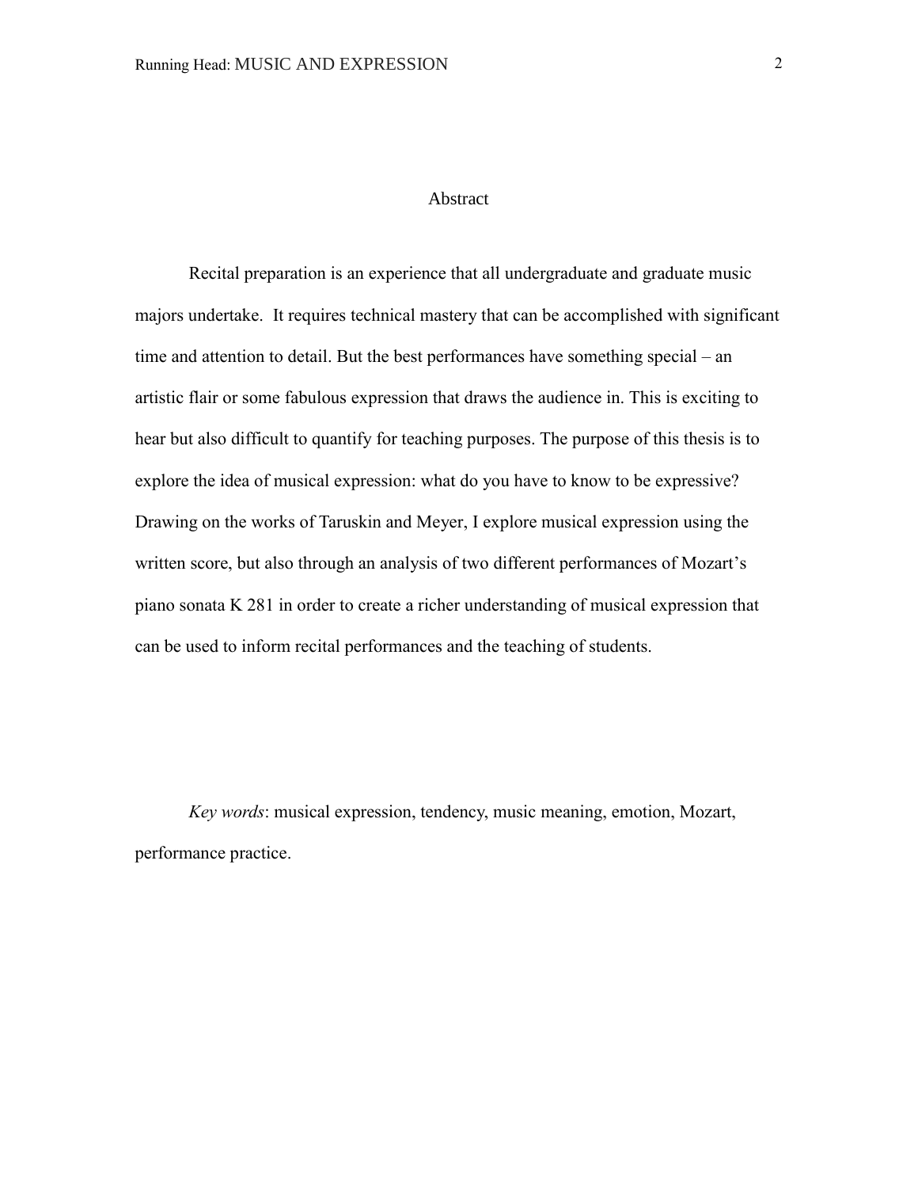# Abstract

 Recital preparation is an experience that all undergraduate and graduate music majors undertake. It requires technical mastery that can be accomplished with significant time and attention to detail. But the best performances have something special – an artistic flair or some fabulous expression that draws the audience in. This is exciting to hear but also difficult to quantify for teaching purposes. The purpose of this thesis is to explore the idea of musical expression: what do you have to know to be expressive? Drawing on the works of Taruskin and Meyer, I explore musical expression using the written score, but also through an analysis of two different performances of Mozart's piano sonata K 281 in order to create a richer understanding of musical expression that can be used to inform recital performances and the teaching of students.

*Key words*: musical expression, tendency, music meaning, emotion, Mozart, performance practice.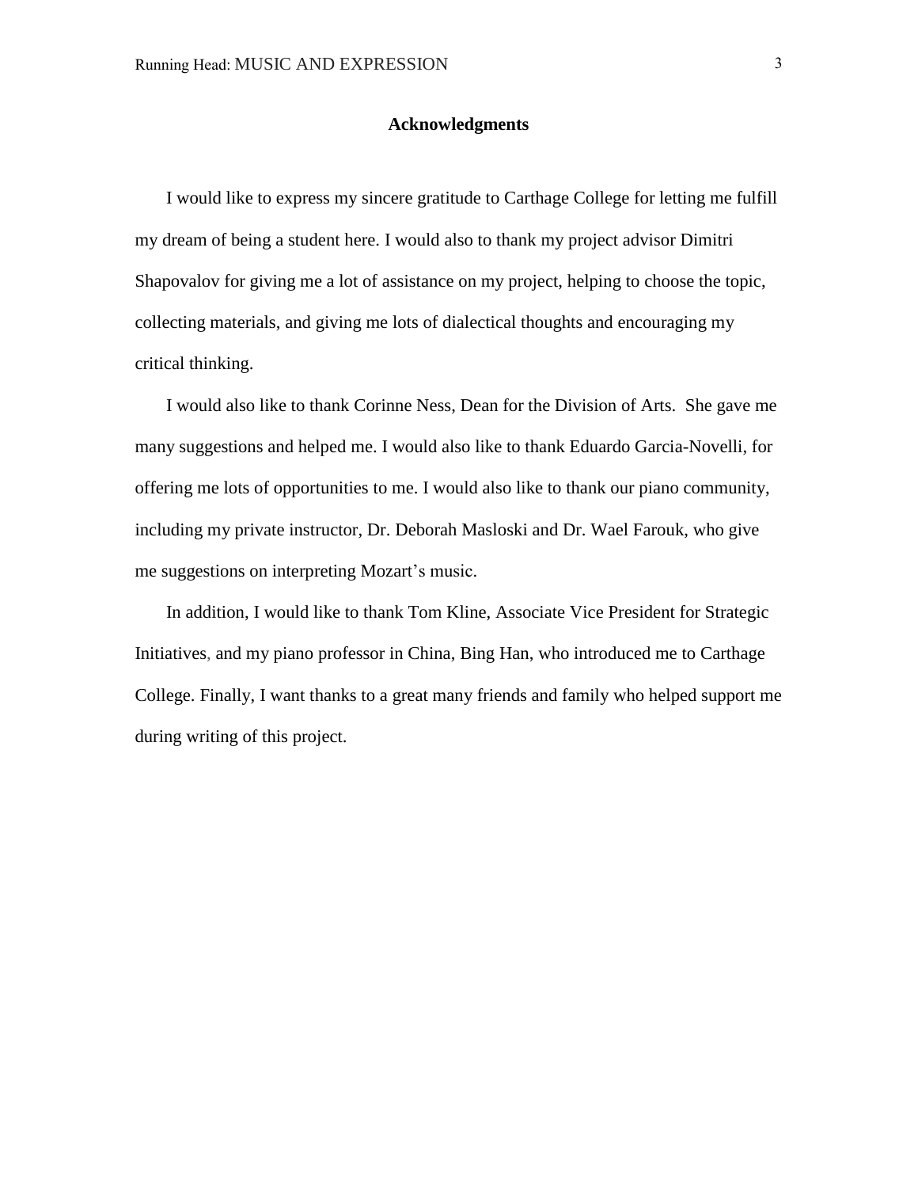# **Acknowledgments**

I would like to express my sincere gratitude to Carthage College for letting me fulfill my dream of being a student here. I would also to thank my project advisor Dimitri Shapovalov for giving me a lot of assistance on my project, helping to choose the topic, collecting materials, and giving me lots of dialectical thoughts and encouraging my critical thinking.

I would also like to thank Corinne Ness, Dean for the Division of Arts. She gave me many suggestions and helped me. I would also like to thank Eduardo Garcia-Novelli, for offering me lots of opportunities to me. I would also like to thank our piano community, including my private instructor, Dr. Deborah Masloski and Dr. Wael Farouk, who give me suggestions on interpreting Mozart's music.

In addition, I would like to thank Tom Kline, Associate Vice President for Strategic Initiatives, and my piano professor in China, Bing Han, who introduced me to Carthage College. Finally, I want thanks to a great many friends and family who helped support me during writing of this project.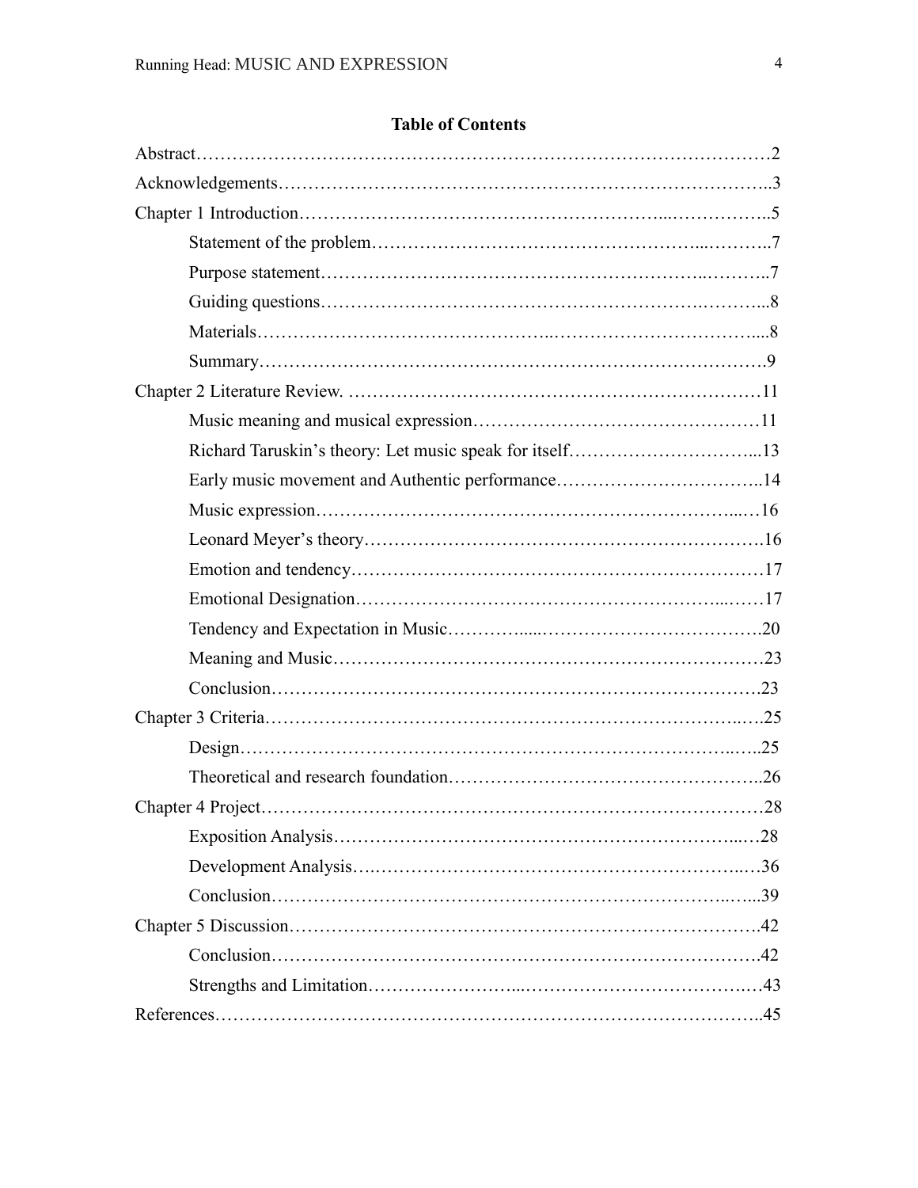| Richard Taruskin's theory: Let music speak for itself13 |     |
|---------------------------------------------------------|-----|
|                                                         |     |
|                                                         |     |
|                                                         |     |
|                                                         |     |
|                                                         |     |
|                                                         |     |
|                                                         |     |
|                                                         |     |
|                                                         |     |
|                                                         |     |
|                                                         |     |
|                                                         | .28 |
|                                                         |     |
|                                                         |     |
|                                                         |     |
|                                                         |     |
|                                                         |     |
|                                                         |     |
|                                                         |     |

# **Table of Contents**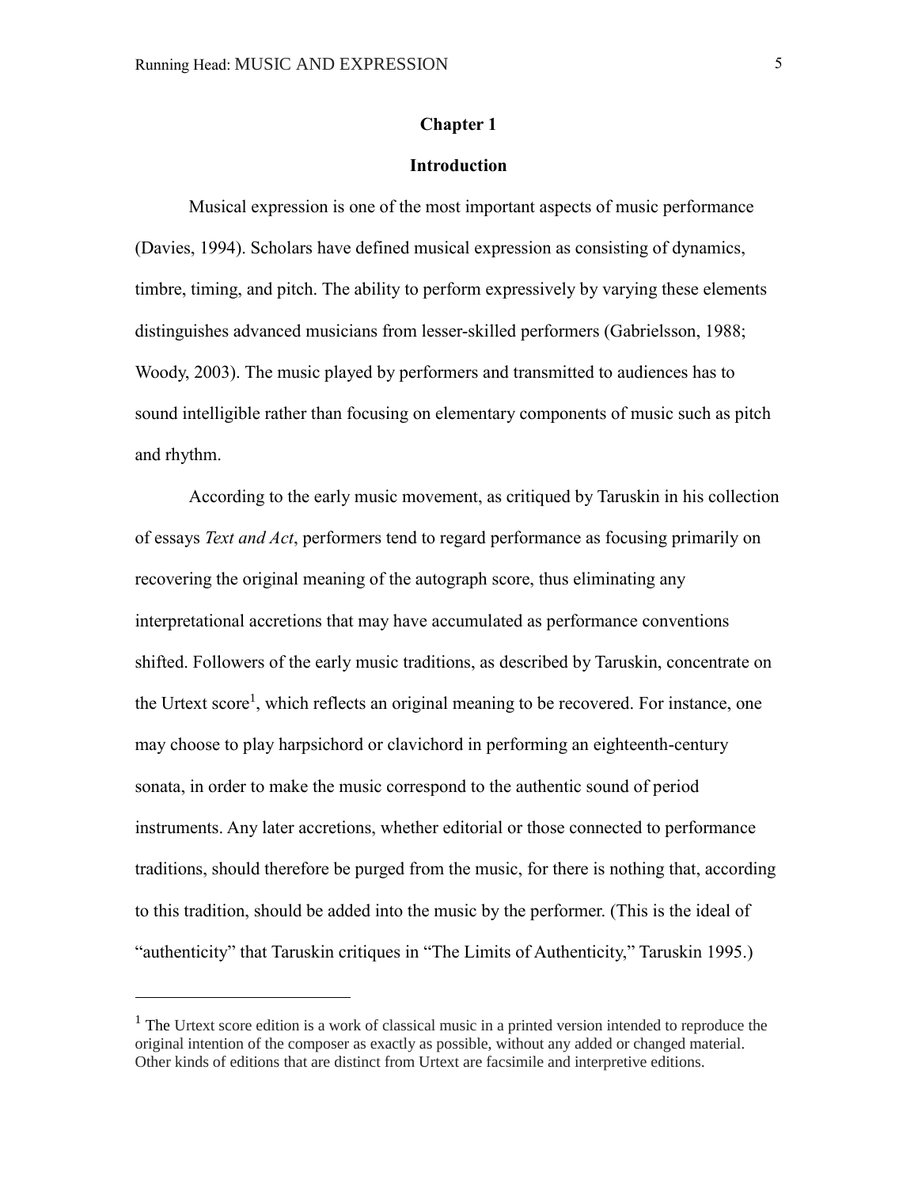### **Chapter 1**

### **Introduction**

Musical expression is one of the most important aspects of music performance (Davies, 1994). Scholars have defined musical expression as consisting of dynamics, timbre, timing, and pitch. The ability to perform expressively by varying these elements distinguishes advanced musicians from lesser-skilled performers (Gabrielsson, 1988; Woody, 2003). The music played by performers and transmitted to audiences has to sound intelligible rather than focusing on elementary components of music such as pitch and rhythm.

According to the early music movement, as critiqued by Taruskin in his collection of essays *Text and Act*, performers tend to regard performance as focusing primarily on recovering the original meaning of the autograph score, thus eliminating any interpretational accretions that may have accumulated as performance conventions shifted. Followers of the early music traditions, as described by Taruskin, concentrate on the Urtext score<sup>1</sup>, which reflects an original meaning to be recovered. For instance, one may choose to play harpsichord or clavichord in performing an eighteenth-century sonata, in order to make the music correspond to the authentic sound of period instruments. Any later accretions, whether editorial or those connected to performance traditions, should therefore be purged from the music, for there is nothing that, according to this tradition, should be added into the music by the performer. (This is the ideal of "authenticity" that Taruskin critiques in "The Limits of Authenticity," Taruskin 1995.)

 $\overline{a}$ 

 $<sup>1</sup>$  The Urtext score edition is a work of classical music in a printed version intended to reproduce the</sup> original intention of the composer as exactly as possible, without any added or changed material. Other kinds of editions that are distinct from Urtext are facsimile and interpretive editions.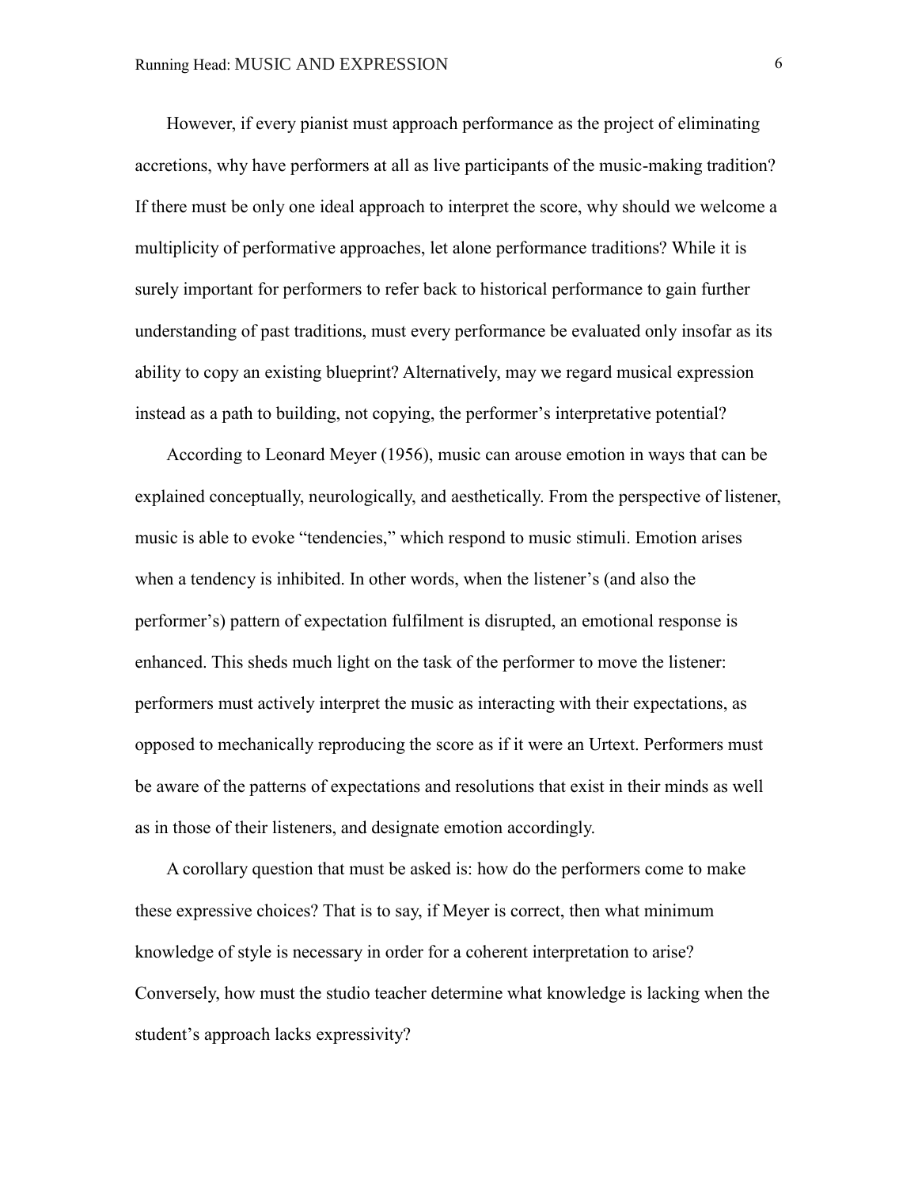However, if every pianist must approach performance as the project of eliminating accretions, why have performers at all as live participants of the music-making tradition? If there must be only one ideal approach to interpret the score, why should we welcome a multiplicity of performative approaches, let alone performance traditions? While it is surely important for performers to refer back to historical performance to gain further understanding of past traditions, must every performance be evaluated only insofar as its ability to copy an existing blueprint? Alternatively, may we regard musical expression instead as a path to building, not copying, the performer's interpretative potential?

According to Leonard Meyer (1956), music can arouse emotion in ways that can be explained conceptually, neurologically, and aesthetically. From the perspective of listener, music is able to evoke "tendencies," which respond to music stimuli. Emotion arises when a tendency is inhibited. In other words, when the listener's (and also the performer's) pattern of expectation fulfilment is disrupted, an emotional response is enhanced. This sheds much light on the task of the performer to move the listener: performers must actively interpret the music as interacting with their expectations, as opposed to mechanically reproducing the score as if it were an Urtext. Performers must be aware of the patterns of expectations and resolutions that exist in their minds as well as in those of their listeners, and designate emotion accordingly.

A corollary question that must be asked is: how do the performers come to make these expressive choices? That is to say, if Meyer is correct, then what minimum knowledge of style is necessary in order for a coherent interpretation to arise? Conversely, how must the studio teacher determine what knowledge is lacking when the student's approach lacks expressivity?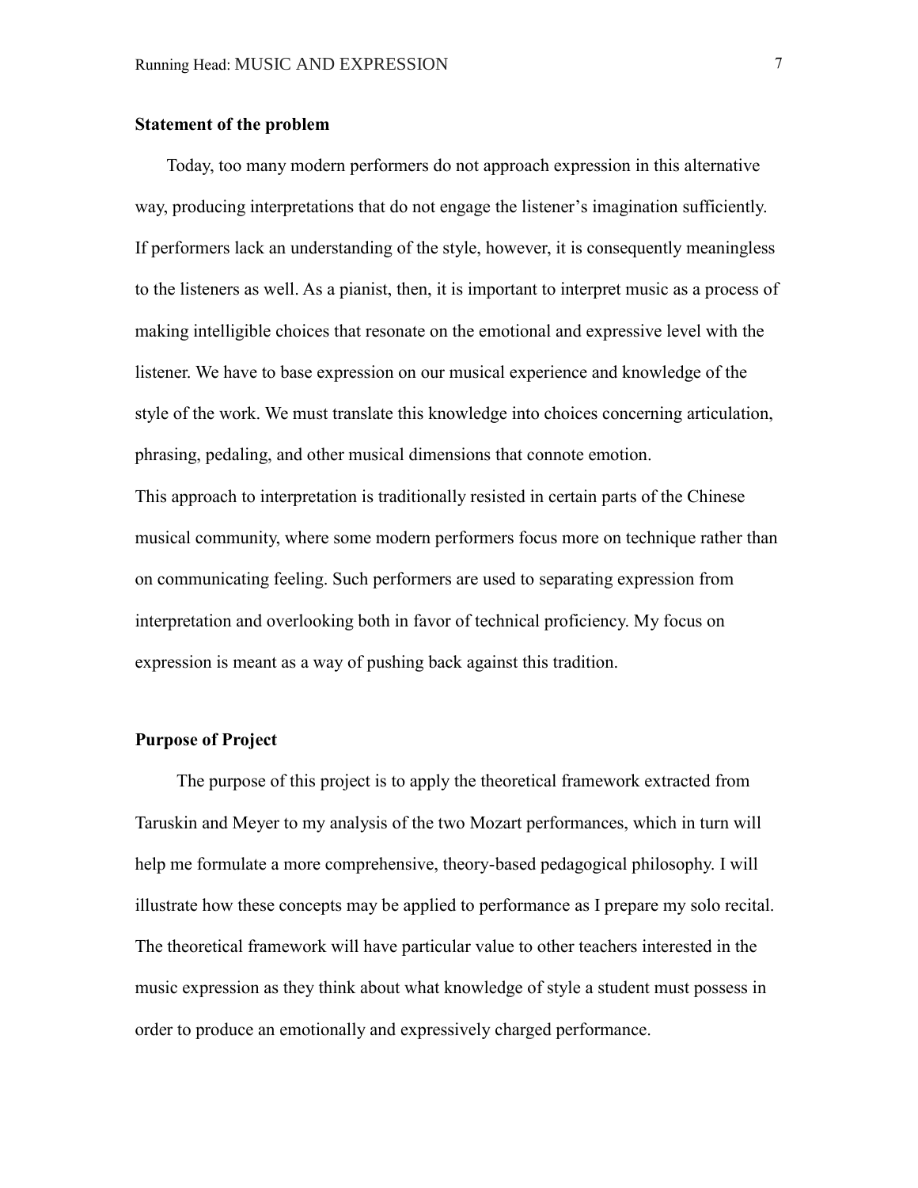### **Statement of the problem**

Today, too many modern performers do not approach expression in this alternative way, producing interpretations that do not engage the listener's imagination sufficiently. If performers lack an understanding of the style, however, it is consequently meaningless to the listeners as well. As a pianist, then, it is important to interpret music as a process of making intelligible choices that resonate on the emotional and expressive level with the listener. We have to base expression on our musical experience and knowledge of the style of the work. We must translate this knowledge into choices concerning articulation, phrasing, pedaling, and other musical dimensions that connote emotion. This approach to interpretation is traditionally resisted in certain parts of the Chinese musical community, where some modern performers focus more on technique rather than on communicating feeling. Such performers are used to separating expression from interpretation and overlooking both in favor of technical proficiency. My focus on expression is meant as a way of pushing back against this tradition.

### **Purpose of Project**

The purpose of this project is to apply the theoretical framework extracted from Taruskin and Meyer to my analysis of the two Mozart performances, which in turn will help me formulate a more comprehensive, theory-based pedagogical philosophy. I will illustrate how these concepts may be applied to performance as I prepare my solo recital. The theoretical framework will have particular value to other teachers interested in the music expression as they think about what knowledge of style a student must possess in order to produce an emotionally and expressively charged performance.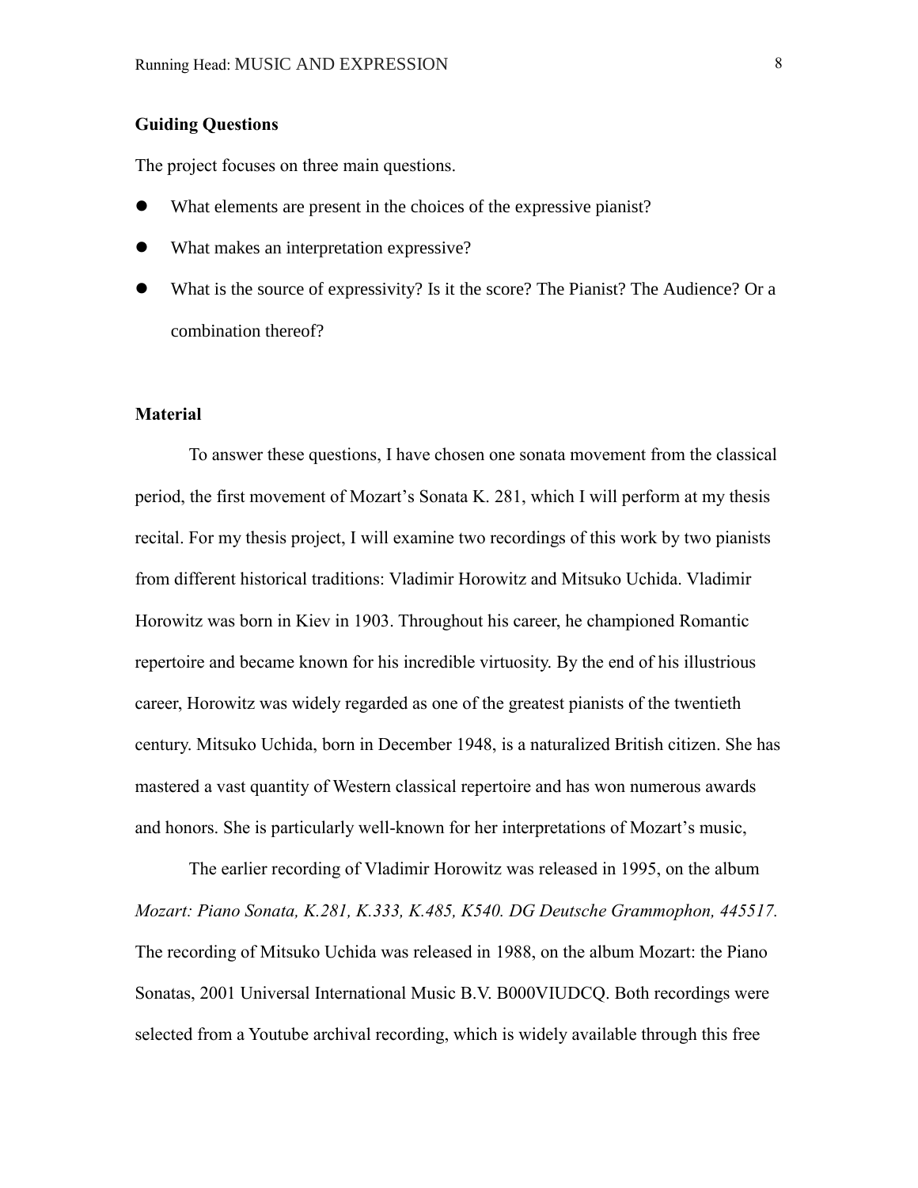# **Guiding Questions**

The project focuses on three main questions.

- What elements are present in the choices of the expressive pianist?
- What makes an interpretation expressive?
- What is the source of expressivity? Is it the score? The Pianist? The Audience? Or a combination thereof?

# **Material**

To answer these questions, I have chosen one sonata movement from the classical period, the first movement of Mozart's Sonata K. 281, which I will perform at my thesis recital. For my thesis project, I will examine two recordings of this work by two pianists from different historical traditions: Vladimir Horowitz and Mitsuko Uchida. Vladimir Horowitz was born in Kiev in 1903. Throughout his career, he championed Romantic repertoire and became known for his incredible virtuosity. By the end of his illustrious career, Horowitz was widely regarded as one of the greatest pianists of the twentieth century. Mitsuko Uchida, born in December 1948, is a naturalized British citizen. She has mastered a vast quantity of Western classical repertoire and has won numerous awards and honors. She is particularly well-known for her interpretations of Mozart's music,

The earlier recording of Vladimir Horowitz was released in 1995, on the album *Mozart: Piano Sonata, K.281, K.333, K.485, K540. DG Deutsche Grammophon, 445517.* The recording of Mitsuko Uchida was released in 1988, on the album Mozart: the Piano Sonatas, 2001 Universal International Music B.V. B000VIUDCQ. Both recordings were selected from a Youtube archival recording, which is widely available through this free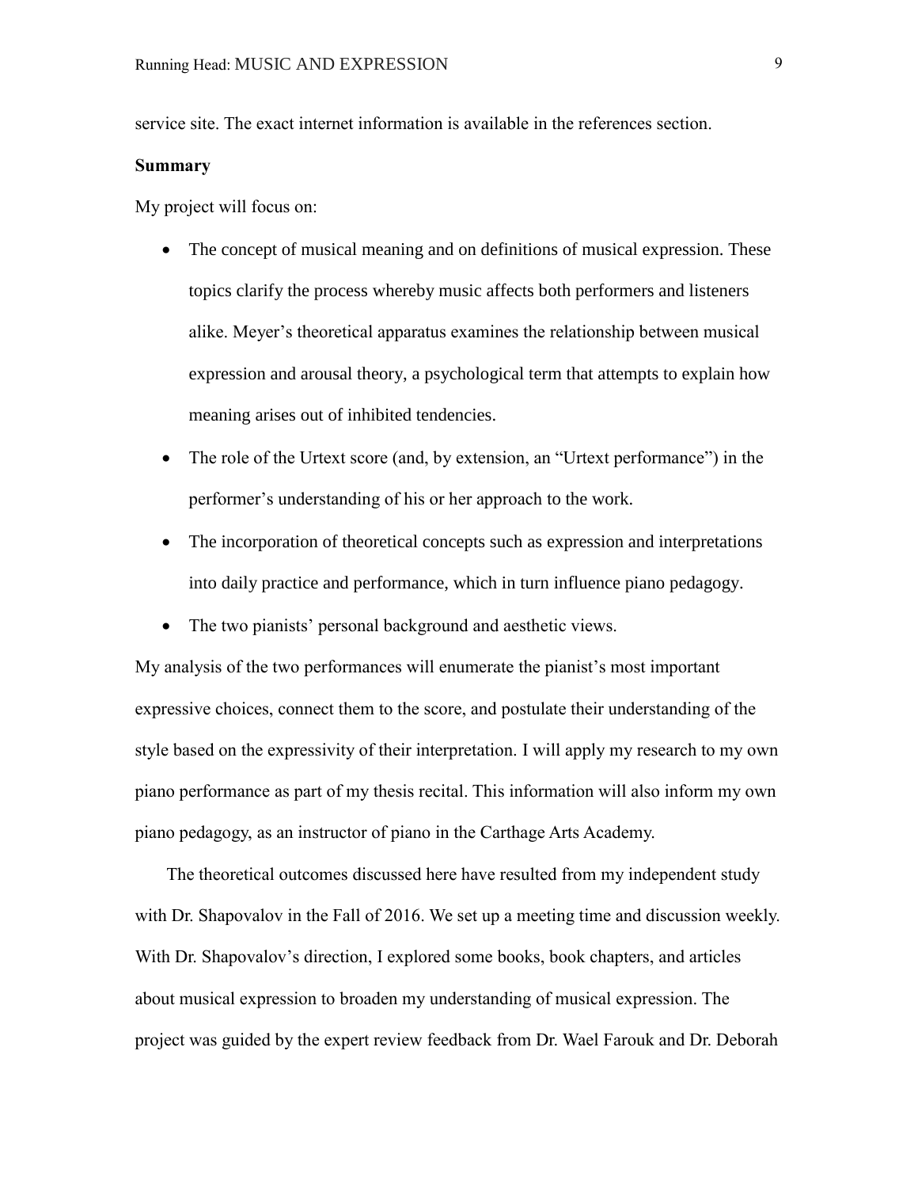service site. The exact internet information is available in the references section.

#### **Summary**

My project will focus on:

- The concept of musical meaning and on definitions of musical expression. These topics clarify the process whereby music affects both performers and listeners alike. Meyer's theoretical apparatus examines the relationship between musical expression and arousal theory, a psychological term that attempts to explain how meaning arises out of inhibited tendencies.
- The role of the Urtext score (and, by extension, an "Urtext performance") in the performer's understanding of his or her approach to the work.
- The incorporation of theoretical concepts such as expression and interpretations into daily practice and performance, which in turn influence piano pedagogy.
- The two pianists' personal background and aesthetic views.

My analysis of the two performances will enumerate the pianist's most important expressive choices, connect them to the score, and postulate their understanding of the style based on the expressivity of their interpretation. I will apply my research to my own piano performance as part of my thesis recital. This information will also inform my own piano pedagogy, as an instructor of piano in the Carthage Arts Academy.

The theoretical outcomes discussed here have resulted from my independent study with Dr. Shapovalov in the Fall of 2016. We set up a meeting time and discussion weekly. With Dr. Shapovalov's direction, I explored some books, book chapters, and articles about musical expression to broaden my understanding of musical expression. The project was guided by the expert review feedback from Dr. Wael Farouk and Dr. Deborah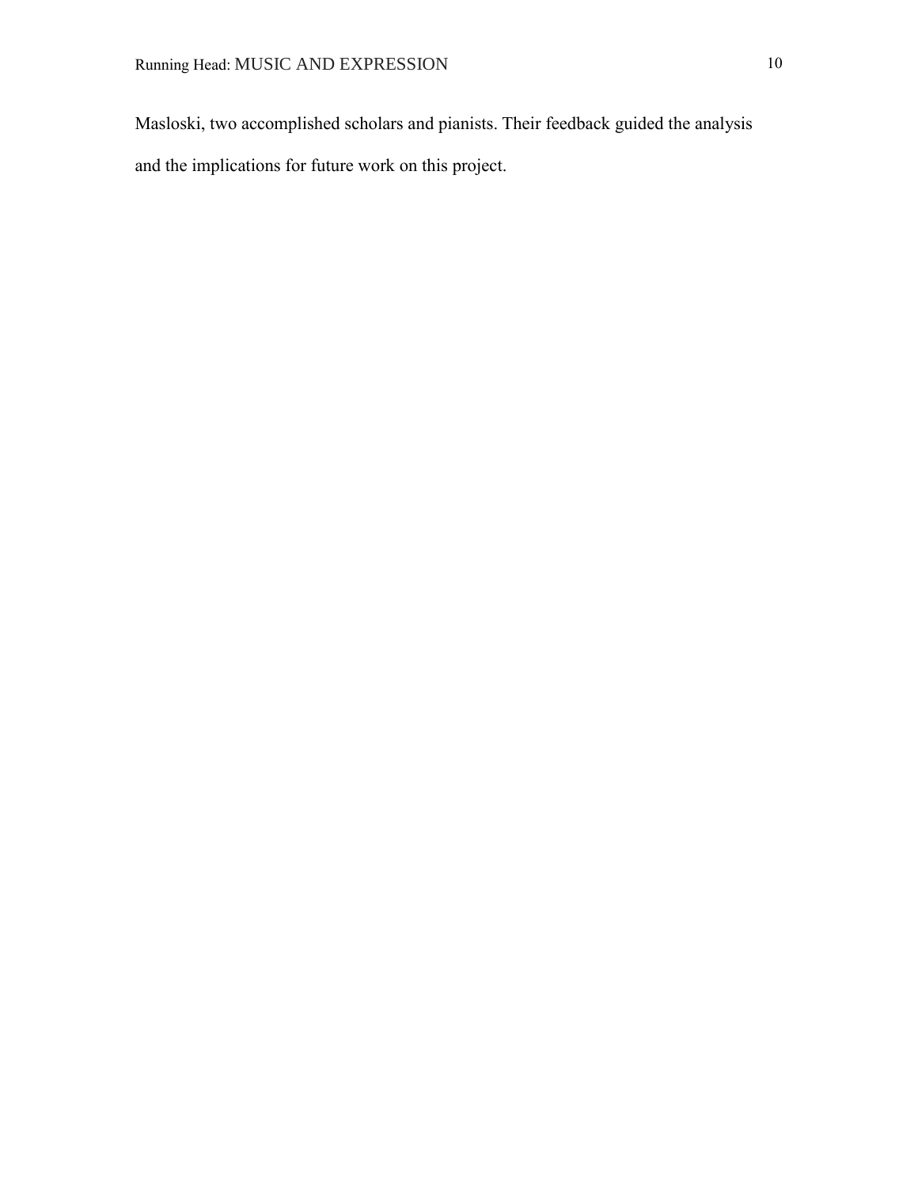Masloski, two accomplished scholars and pianists. Their feedback guided the analysis and the implications for future work on this project.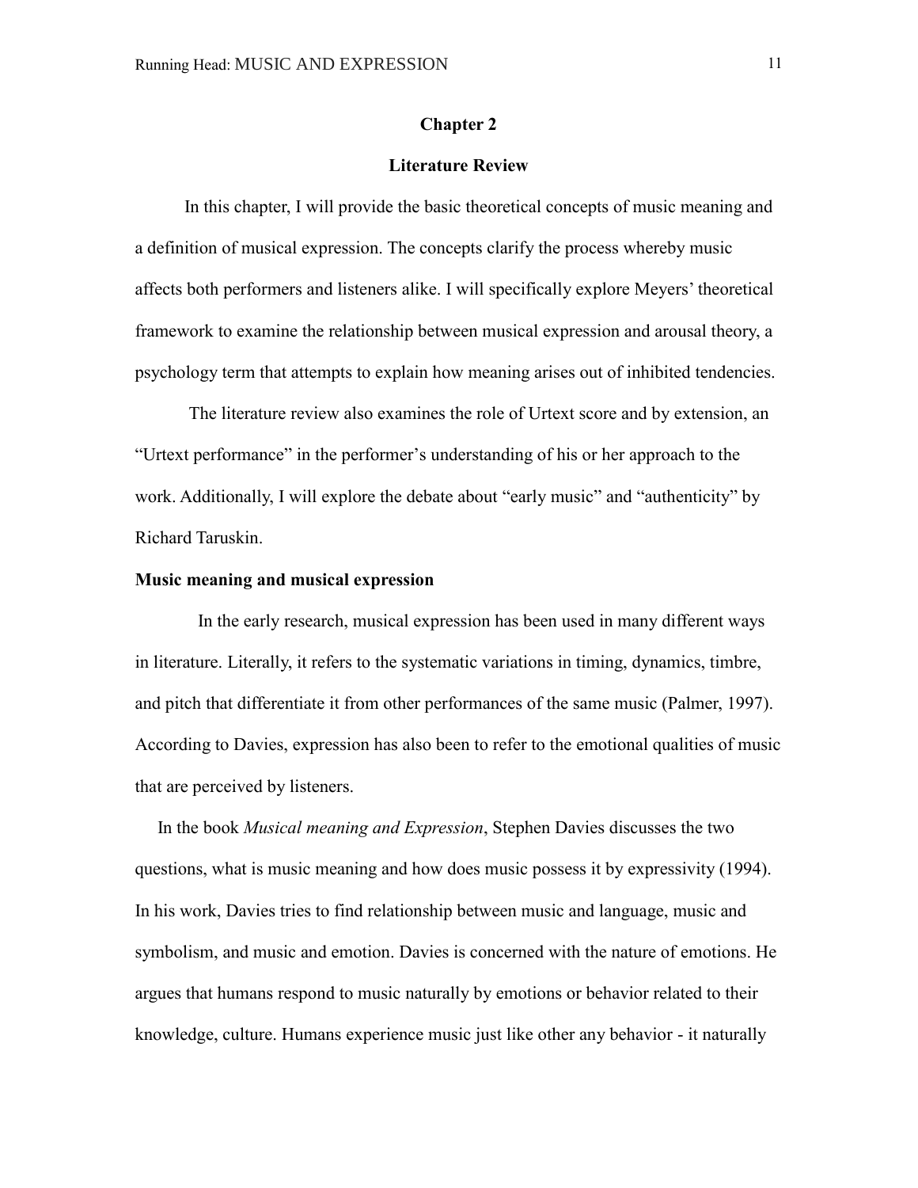#### **Chapter 2**

# **Literature Review**

 In this chapter, I will provide the basic theoretical concepts of music meaning and a definition of musical expression. The concepts clarify the process whereby music affects both performers and listeners alike. I will specifically explore Meyers' theoretical framework to examine the relationship between musical expression and arousal theory, a psychology term that attempts to explain how meaning arises out of inhibited tendencies.

The literature review also examines the role of Urtext score and by extension, an "Urtext performance" in the performer's understanding of his or her approach to the work. Additionally, I will explore the debate about "early music" and "authenticity" by Richard Taruskin.

#### **Music meaning and musical expression**

In the early research, musical expression has been used in many different ways in literature. Literally, it refers to the systematic variations in timing, dynamics, timbre, and pitch that differentiate it from other performances of the same music (Palmer, 1997). According to Davies, expression has also been to refer to the emotional qualities of music that are perceived by listeners.

 In the book *Musical meaning and Expression*, Stephen Davies discusses the two questions, what is music meaning and how does music possess it by expressivity (1994). In his work, Davies tries to find relationship between music and language, music and symbolism, and music and emotion. Davies is concerned with the nature of emotions. He argues that humans respond to music naturally by emotions or behavior related to their knowledge, culture. Humans experience music just like other any behavior - it naturally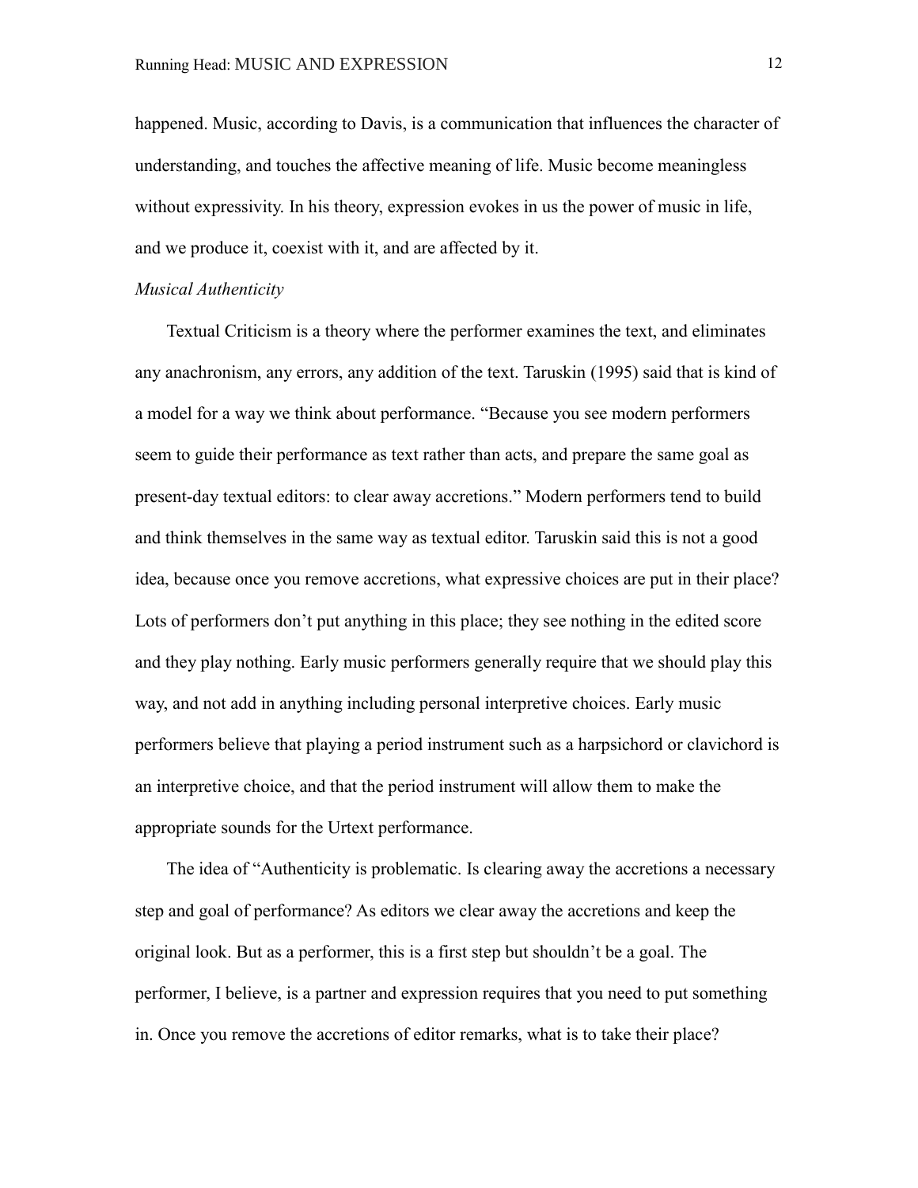happened. Music, according to Davis, is a communication that influences the character of understanding, and touches the affective meaning of life. Music become meaningless without expressivity. In his theory, expression evokes in us the power of music in life, and we produce it, coexist with it, and are affected by it.

### *Musical Authenticity*

Textual Criticism is a theory where the performer examines the text, and eliminates any anachronism, any errors, any addition of the text. Taruskin (1995) said that is kind of a model for a way we think about performance. "Because you see modern performers seem to guide their performance as text rather than acts, and prepare the same goal as present-day textual editors: to clear away accretions." Modern performers tend to build and think themselves in the same way as textual editor. Taruskin said this is not a good idea, because once you remove accretions, what expressive choices are put in their place? Lots of performers don't put anything in this place; they see nothing in the edited score and they play nothing. Early music performers generally require that we should play this way, and not add in anything including personal interpretive choices. Early music performers believe that playing a period instrument such as a harpsichord or clavichord is an interpretive choice, and that the period instrument will allow them to make the appropriate sounds for the Urtext performance.

The idea of "Authenticity is problematic. Is clearing away the accretions a necessary step and goal of performance? As editors we clear away the accretions and keep the original look. But as a performer, this is a first step but shouldn't be a goal. The performer, I believe, is a partner and expression requires that you need to put something in. Once you remove the accretions of editor remarks, what is to take their place?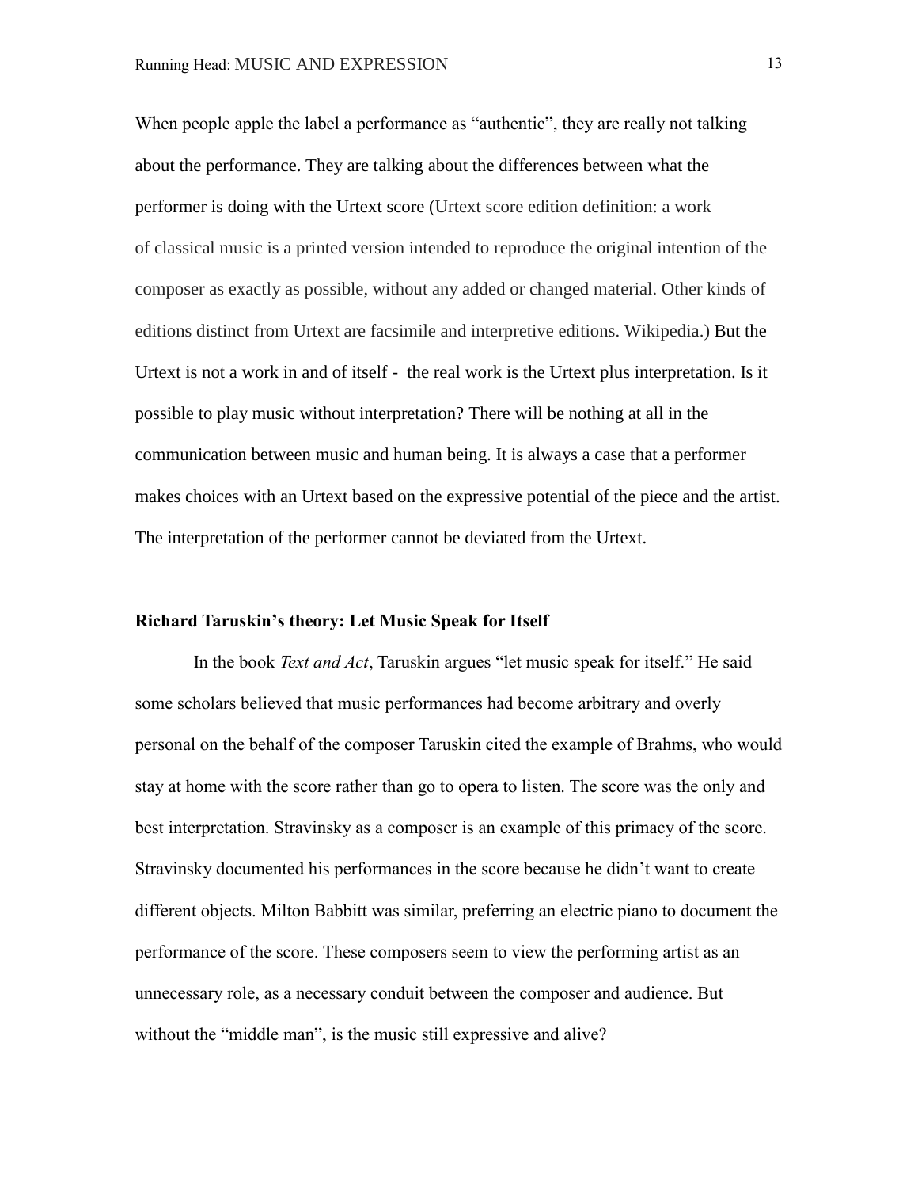When people apple the label a performance as "authentic", they are really not talking about the performance. They are talking about the differences between what the performer is doing with the Urtext score (Urtext score edition definition: a work of classical music is a printed version intended to reproduce the original intention of the composer as exactly as possible, without any added or changed material. Other kinds of editions distinct from Urtext are facsimile and interpretive editions. Wikipedia.) But the Urtext is not a work in and of itself - the real work is the Urtext plus interpretation. Is it possible to play music without interpretation? There will be nothing at all in the communication between music and human being. It is always a case that a performer makes choices with an Urtext based on the expressive potential of the piece and the artist. The interpretation of the performer cannot be deviated from the Urtext.

# **Richard Taruskin's theory: Let Music Speak for Itself**

In the book *Text and Act*, Taruskin argues "let music speak for itself." He said some scholars believed that music performances had become arbitrary and overly personal on the behalf of the composer Taruskin cited the example of Brahms, who would stay at home with the score rather than go to opera to listen. The score was the only and best interpretation. Stravinsky as a composer is an example of this primacy of the score. Stravinsky documented his performances in the score because he didn't want to create different objects. Milton Babbitt was similar, preferring an electric piano to document the performance of the score. These composers seem to view the performing artist as an unnecessary role, as a necessary conduit between the composer and audience. But without the "middle man", is the music still expressive and alive?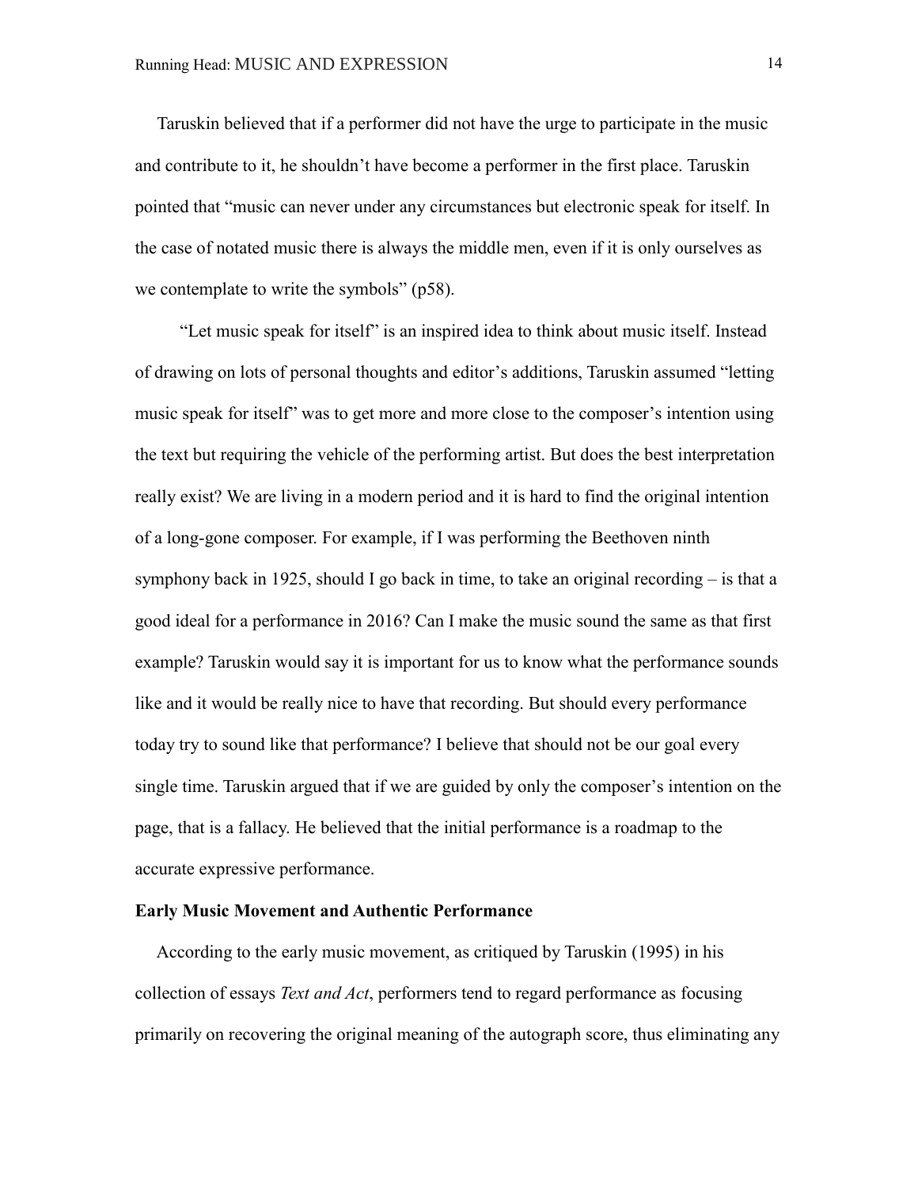Taruskin believed that if a performer did not have the urge to participate in the music and contribute to it, he shouldn't have become a performer in the first place. Taruskin pointed that "music can never under any circumstances but electronic speak for itself. In the case of notated music there is always the middle men, even if it is only ourselves as we contemplate to write the symbols" (p58).

"Let music speak for itself" is an inspired idea to think about music itself. Instead of drawing on lots of personal thoughts and editor's additions, Taruskin assumed "letting music speak for itself" was to get more and more close to the composer's intention using the text but requiring the vehicle of the performing artist. But does the best interpretation really exist? We are living in a modern period and it is hard to find the original intention of a long-gone composer. For example, if I was performing the Beethoven ninth symphony back in 1925, should I go back in time, to take an original recording  $-$  is that a good ideal for a performance in 2016? Can I make the music sound the same as that first example? Taruskin would say it is important for us to know what the performance sounds like and it would be really nice to have that recording. But should every performance today try to sound like that performance? I believe that should not be our goal every single time. Taruskin argued that if we are guided by only the composer's intention on the page, that is a fallacy. He believed that the initial performance is a roadmap to the accurate expressive performance.

# **Early Music Movement and Authentic Performance**

 According to the early music movement, as critiqued by Taruskin (1995) in his collection of essays *Text and Act*, performers tend to regard performance as focusing primarily on recovering the original meaning of the autograph score, thus eliminating any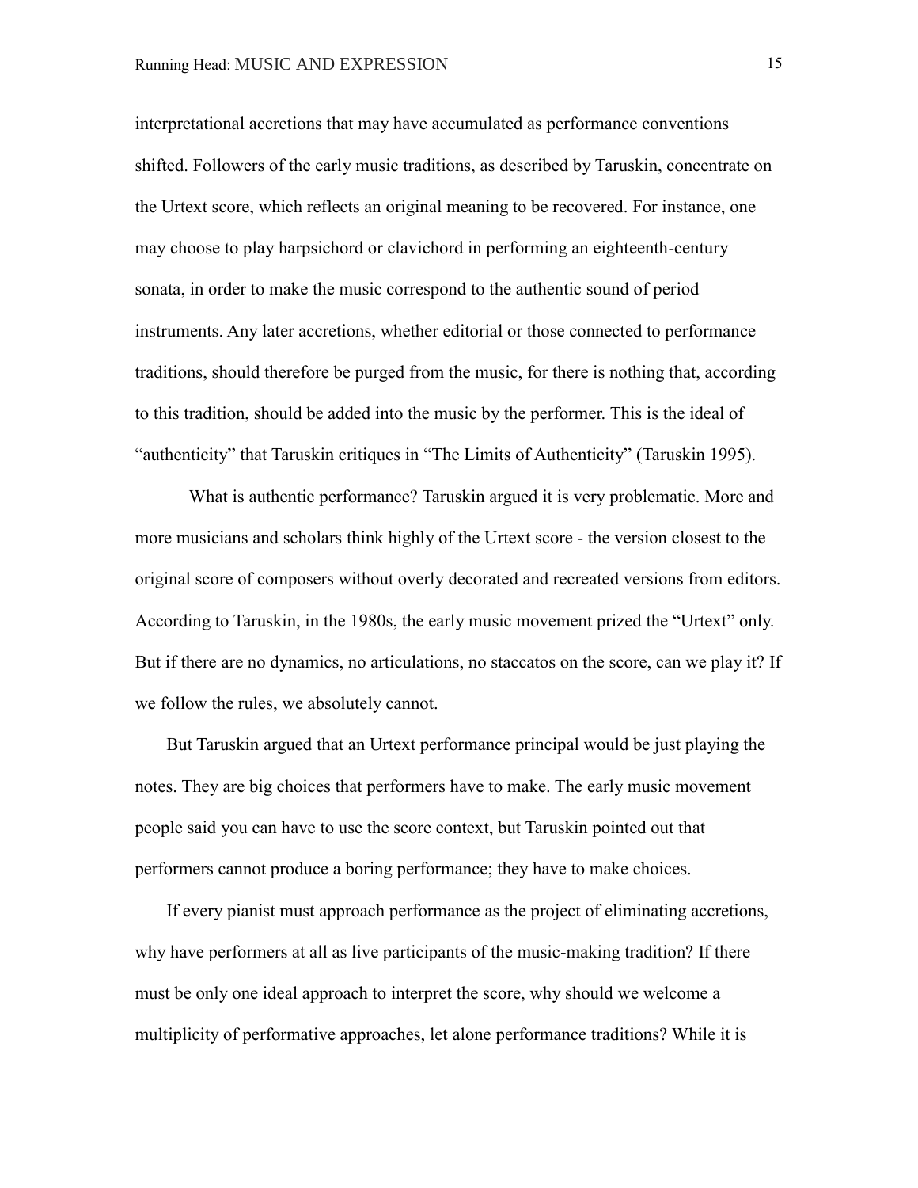interpretational accretions that may have accumulated as performance conventions shifted. Followers of the early music traditions, as described by Taruskin, concentrate on the Urtext score, which reflects an original meaning to be recovered. For instance, one may choose to play harpsichord or clavichord in performing an eighteenth-century sonata, in order to make the music correspond to the authentic sound of period instruments. Any later accretions, whether editorial or those connected to performance traditions, should therefore be purged from the music, for there is nothing that, according to this tradition, should be added into the music by the performer. This is the ideal of "authenticity" that Taruskin critiques in "The Limits of Authenticity" (Taruskin 1995).

What is authentic performance? Taruskin argued it is very problematic. More and more musicians and scholars think highly of the Urtext score - the version closest to the original score of composers without overly decorated and recreated versions from editors. According to Taruskin, in the 1980s, the early music movement prized the "Urtext" only. But if there are no dynamics, no articulations, no staccatos on the score, can we play it? If we follow the rules, we absolutely cannot.

But Taruskin argued that an Urtext performance principal would be just playing the notes. They are big choices that performers have to make. The early music movement people said you can have to use the score context, but Taruskin pointed out that performers cannot produce a boring performance; they have to make choices.

If every pianist must approach performance as the project of eliminating accretions, why have performers at all as live participants of the music-making tradition? If there must be only one ideal approach to interpret the score, why should we welcome a multiplicity of performative approaches, let alone performance traditions? While it is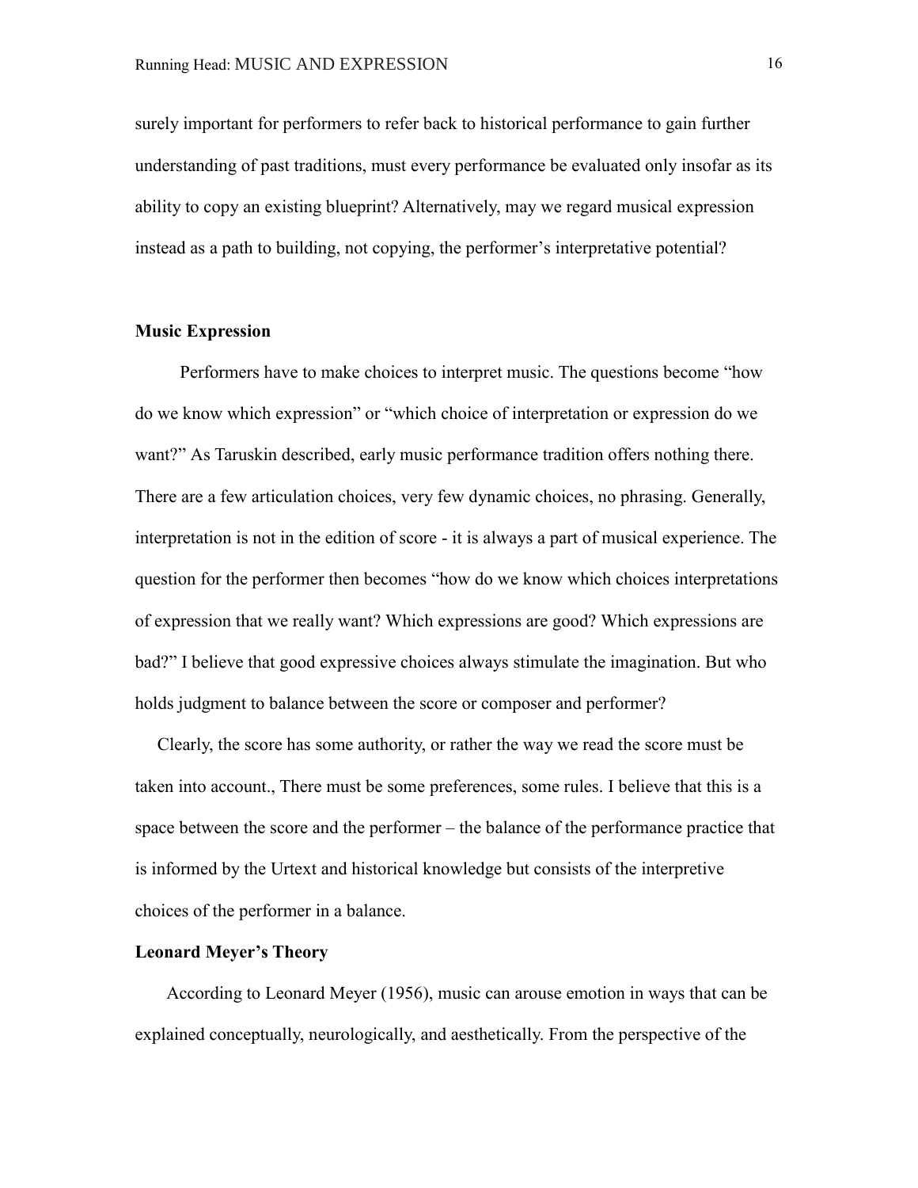surely important for performers to refer back to historical performance to gain further understanding of past traditions, must every performance be evaluated only insofar as its ability to copy an existing blueprint? Alternatively, may we regard musical expression instead as a path to building, not copying, the performer's interpretative potential?

# **Music Expression**

Performers have to make choices to interpret music. The questions become "how do we know which expression" or "which choice of interpretation or expression do we want?" As Taruskin described, early music performance tradition offers nothing there. There are a few articulation choices, very few dynamic choices, no phrasing. Generally, interpretation is not in the edition of score - it is always a part of musical experience. The question for the performer then becomes "how do we know which choices interpretations of expression that we really want? Which expressions are good? Which expressions are bad?" I believe that good expressive choices always stimulate the imagination. But who holds judgment to balance between the score or composer and performer?

 Clearly, the score has some authority, or rather the way we read the score must be taken into account., There must be some preferences, some rules. I believe that this is a space between the score and the performer – the balance of the performance practice that is informed by the Urtext and historical knowledge but consists of the interpretive choices of the performer in a balance.

# **Leonard Meyer's Theory**

According to Leonard Meyer (1956), music can arouse emotion in ways that can be explained conceptually, neurologically, and aesthetically. From the perspective of the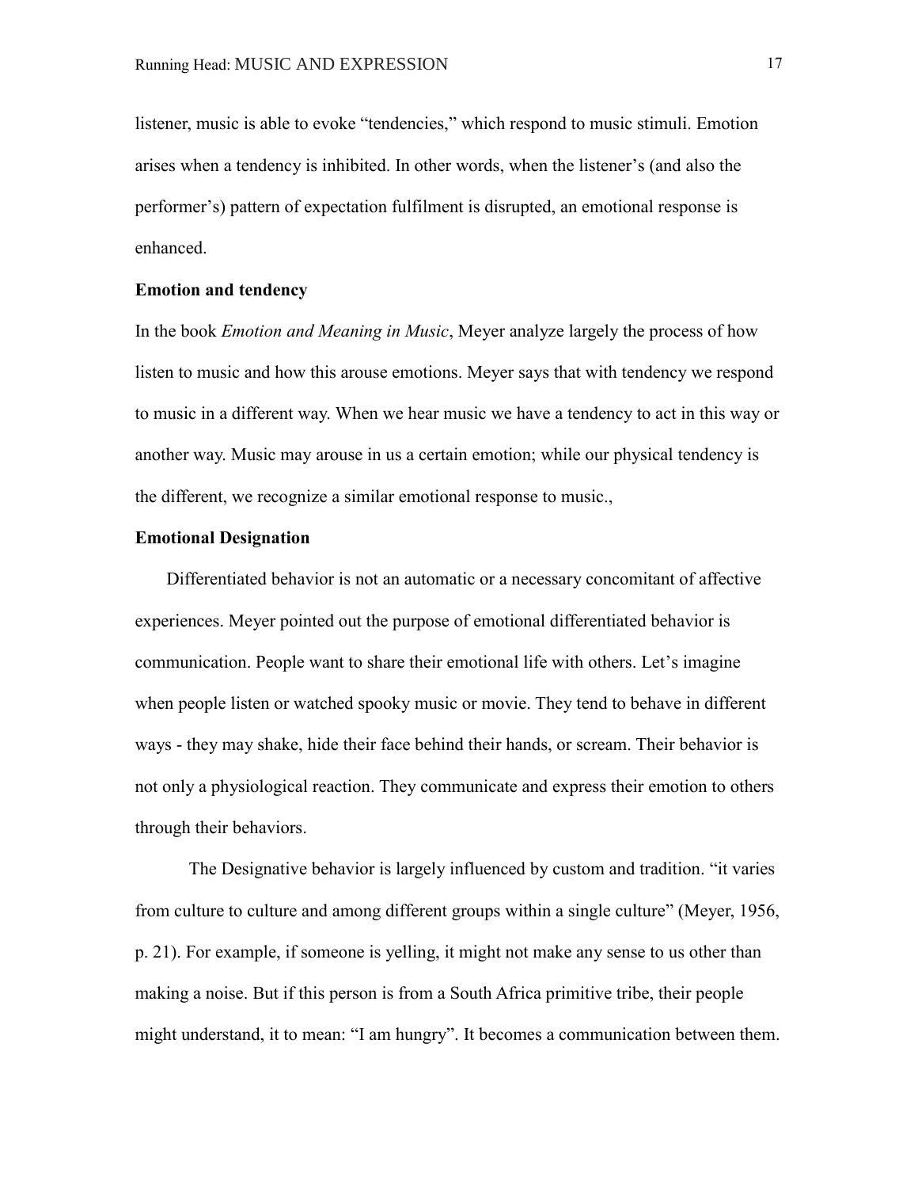listener, music is able to evoke "tendencies," which respond to music stimuli. Emotion arises when a tendency is inhibited. In other words, when the listener's (and also the performer's) pattern of expectation fulfilment is disrupted, an emotional response is enhanced.

### **Emotion and tendency**

In the book *Emotion and Meaning in Music*, Meyer analyze largely the process of how listen to music and how this arouse emotions. Meyer says that with tendency we respond to music in a different way. When we hear music we have a tendency to act in this way or another way. Music may arouse in us a certain emotion; while our physical tendency is the different, we recognize a similar emotional response to music.,

# **Emotional Designation**

Differentiated behavior is not an automatic or a necessary concomitant of affective experiences. Meyer pointed out the purpose of emotional differentiated behavior is communication. People want to share their emotional life with others. Let's imagine when people listen or watched spooky music or movie. They tend to behave in different ways - they may shake, hide their face behind their hands, or scream. Their behavior is not only a physiological reaction. They communicate and express their emotion to others through their behaviors.

The Designative behavior is largely influenced by custom and tradition. "it varies from culture to culture and among different groups within a single culture" (Meyer, 1956, p. 21). For example, if someone is yelling, it might not make any sense to us other than making a noise. But if this person is from a South Africa primitive tribe, their people might understand, it to mean: "I am hungry". It becomes a communication between them.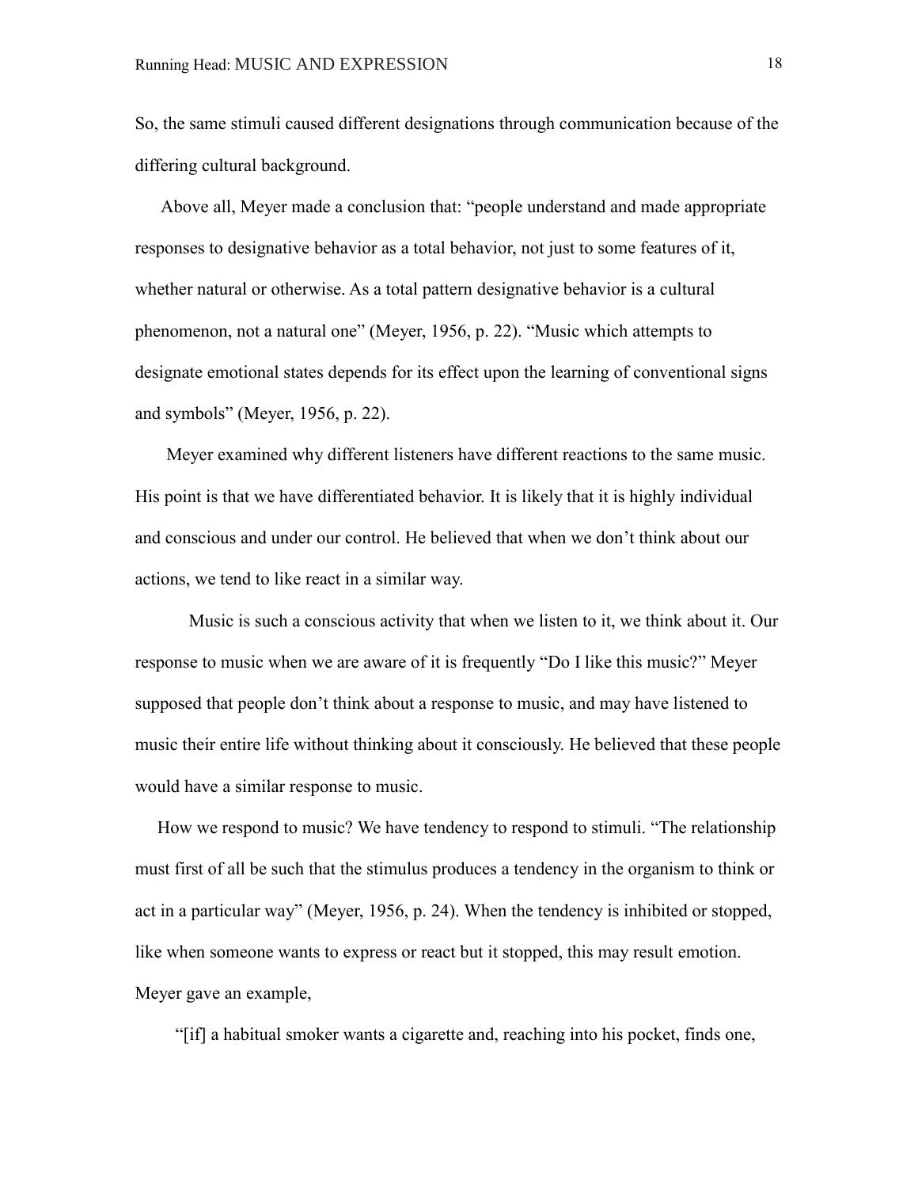So, the same stimuli caused different designations through communication because of the differing cultural background.

 Above all, Meyer made a conclusion that: "people understand and made appropriate responses to designative behavior as a total behavior, not just to some features of it, whether natural or otherwise. As a total pattern designative behavior is a cultural phenomenon, not a natural one" (Meyer, 1956, p. 22). "Music which attempts to designate emotional states depends for its effect upon the learning of conventional signs and symbols" (Meyer, 1956, p. 22).

Meyer examined why different listeners have different reactions to the same music. His point is that we have differentiated behavior. It is likely that it is highly individual and conscious and under our control. He believed that when we don't think about our actions, we tend to like react in a similar way.

Music is such a conscious activity that when we listen to it, we think about it. Our response to music when we are aware of it is frequently "Do I like this music?" Meyer supposed that people don't think about a response to music, and may have listened to music their entire life without thinking about it consciously. He believed that these people would have a similar response to music.

 How we respond to music? We have tendency to respond to stimuli. "The relationship must first of all be such that the stimulus produces a tendency in the organism to think or act in a particular way" (Meyer, 1956, p. 24). When the tendency is inhibited or stopped, like when someone wants to express or react but it stopped, this may result emotion. Meyer gave an example,

"[if] a habitual smoker wants a cigarette and, reaching into his pocket, finds one,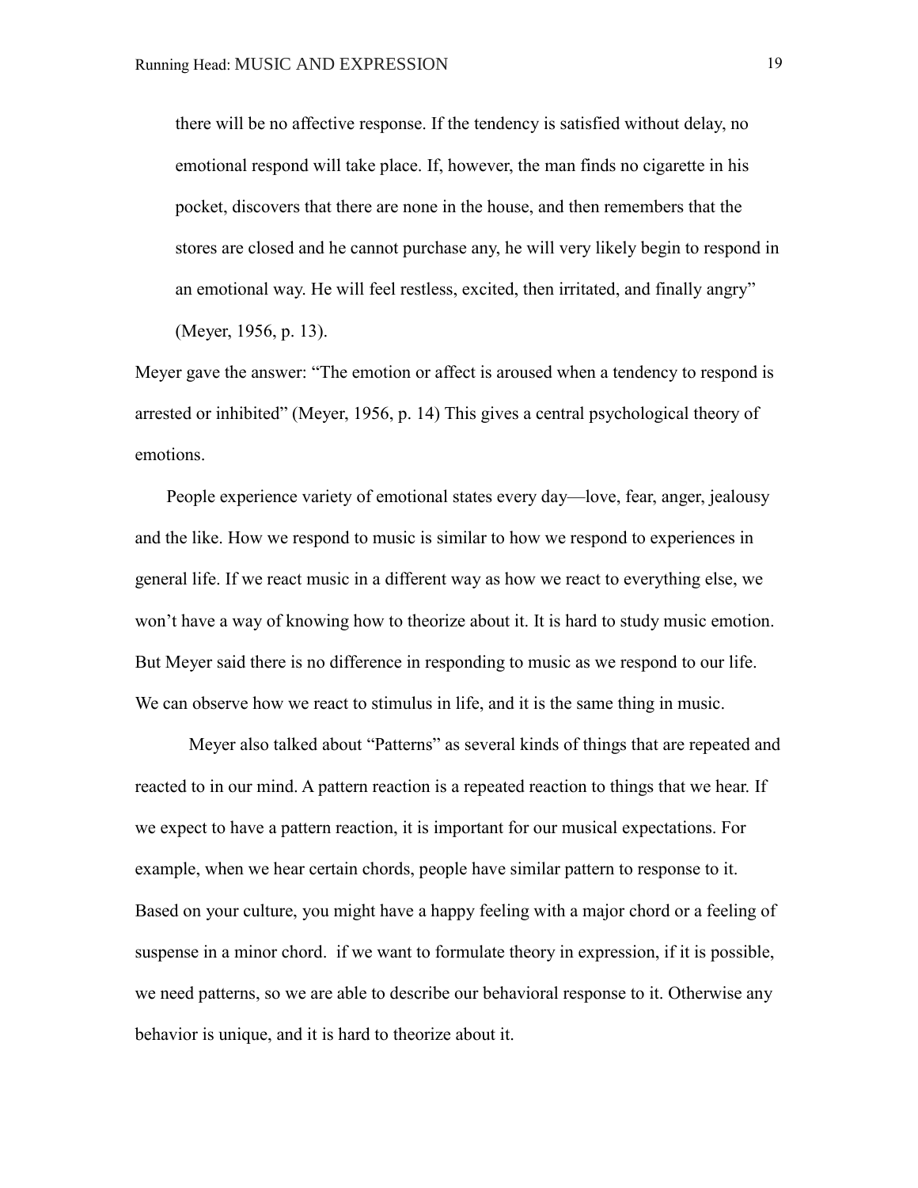there will be no affective response. If the tendency is satisfied without delay, no emotional respond will take place. If, however, the man finds no cigarette in his pocket, discovers that there are none in the house, and then remembers that the stores are closed and he cannot purchase any, he will very likely begin to respond in an emotional way. He will feel restless, excited, then irritated, and finally angry" (Meyer, 1956, p. 13).

Meyer gave the answer: "The emotion or affect is aroused when a tendency to respond is arrested or inhibited" (Meyer, 1956, p. 14) This gives a central psychological theory of emotions.

People experience variety of emotional states every day—love, fear, anger, jealousy and the like. How we respond to music is similar to how we respond to experiences in general life. If we react music in a different way as how we react to everything else, we won't have a way of knowing how to theorize about it. It is hard to study music emotion. But Meyer said there is no difference in responding to music as we respond to our life. We can observe how we react to stimulus in life, and it is the same thing in music.

Meyer also talked about "Patterns" as several kinds of things that are repeated and reacted to in our mind. A pattern reaction is a repeated reaction to things that we hear. If we expect to have a pattern reaction, it is important for our musical expectations. For example, when we hear certain chords, people have similar pattern to response to it. Based on your culture, you might have a happy feeling with a major chord or a feeling of suspense in a minor chord. if we want to formulate theory in expression, if it is possible, we need patterns, so we are able to describe our behavioral response to it. Otherwise any behavior is unique, and it is hard to theorize about it.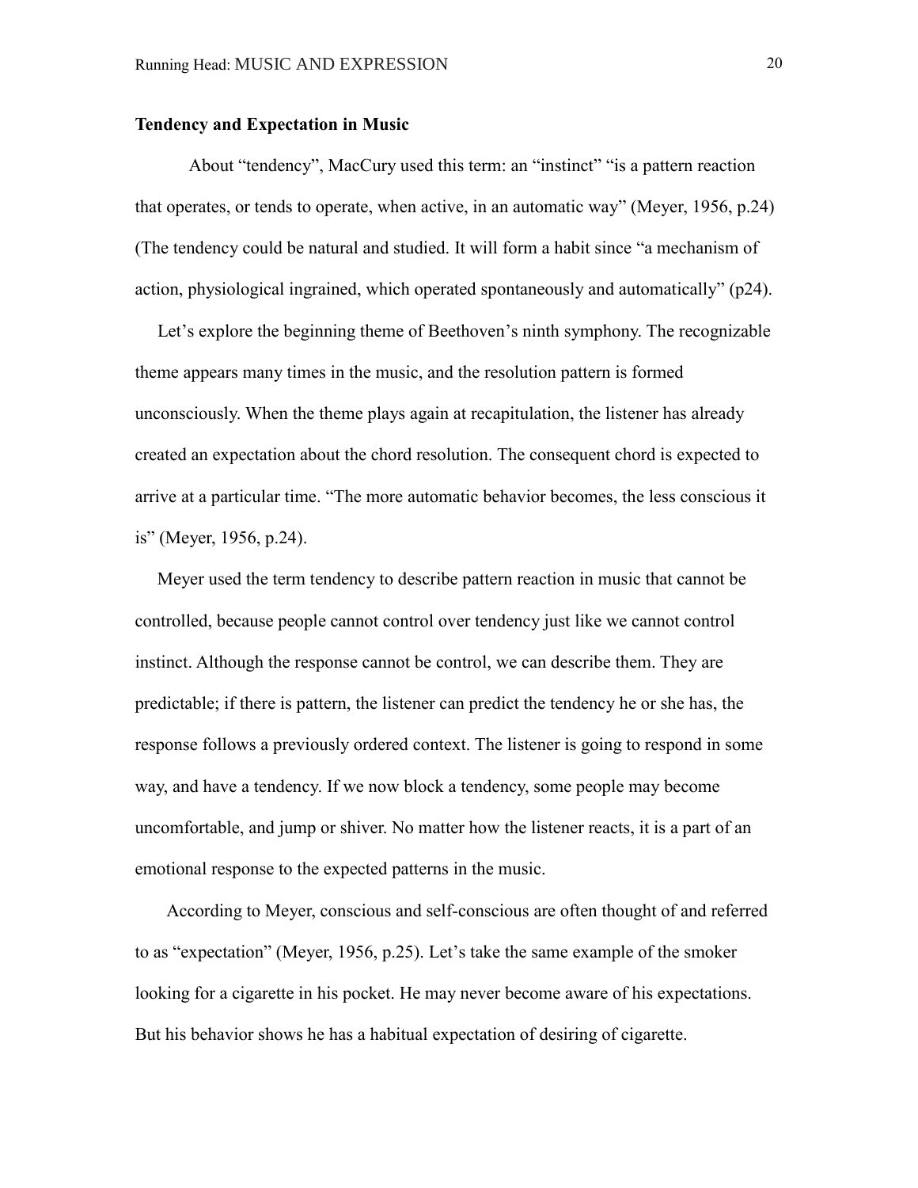# **Tendency and Expectation in Music**

About "tendency", MacCury used this term: an "instinct" "is a pattern reaction that operates, or tends to operate, when active, in an automatic way" (Meyer, 1956, p.24) (The tendency could be natural and studied. It will form a habit since "a mechanism of action, physiological ingrained, which operated spontaneously and automatically" (p24).

 Let's explore the beginning theme of Beethoven's ninth symphony. The recognizable theme appears many times in the music, and the resolution pattern is formed unconsciously. When the theme plays again at recapitulation, the listener has already created an expectation about the chord resolution. The consequent chord is expected to arrive at a particular time. "The more automatic behavior becomes, the less conscious it is" (Meyer, 1956, p.24).

 Meyer used the term tendency to describe pattern reaction in music that cannot be controlled, because people cannot control over tendency just like we cannot control instinct. Although the response cannot be control, we can describe them. They are predictable; if there is pattern, the listener can predict the tendency he or she has, the response follows a previously ordered context. The listener is going to respond in some way, and have a tendency. If we now block a tendency, some people may become uncomfortable, and jump or shiver. No matter how the listener reacts, it is a part of an emotional response to the expected patterns in the music.

According to Meyer, conscious and self-conscious are often thought of and referred to as "expectation" (Meyer, 1956, p.25). Let's take the same example of the smoker looking for a cigarette in his pocket. He may never become aware of his expectations. But his behavior shows he has a habitual expectation of desiring of cigarette.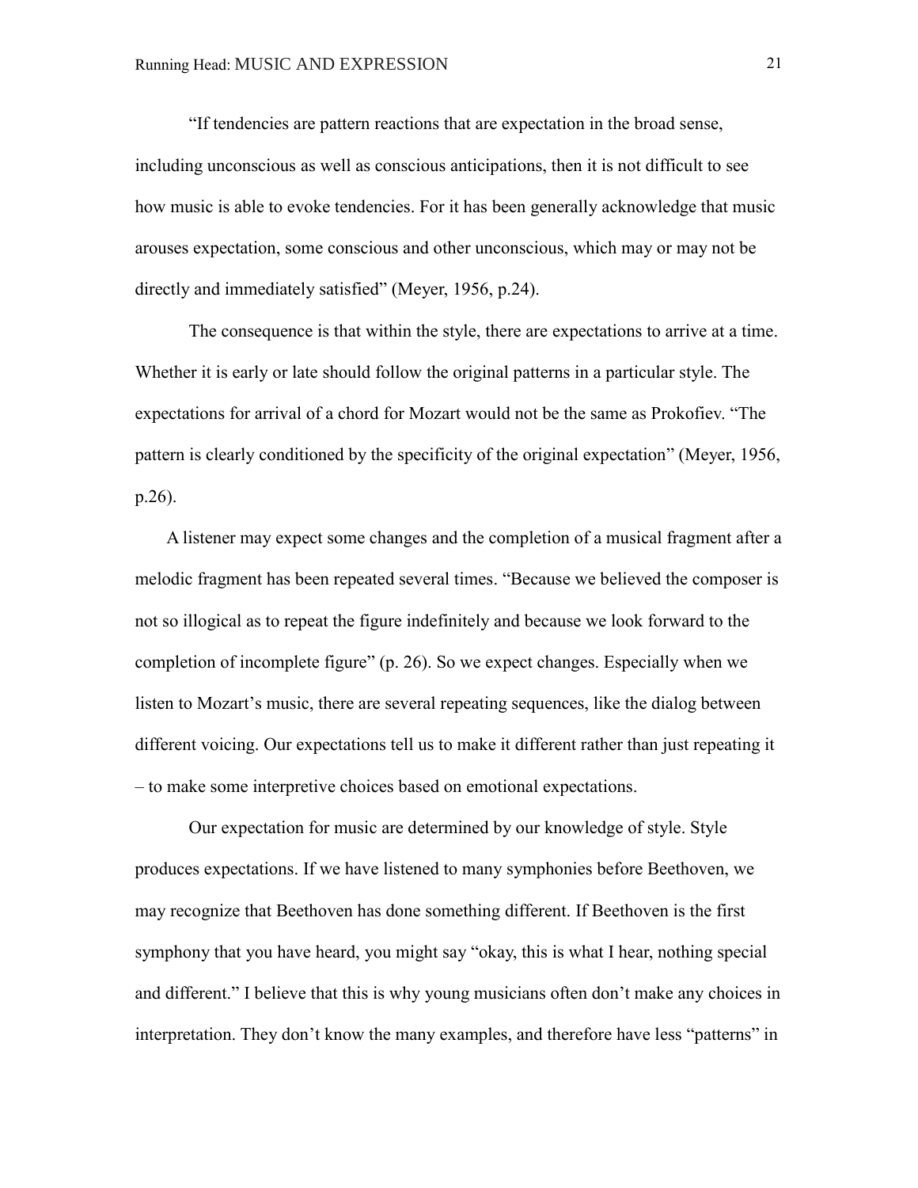"If tendencies are pattern reactions that are expectation in the broad sense, including unconscious as well as conscious anticipations, then it is not difficult to see how music is able to evoke tendencies. For it has been generally acknowledge that music arouses expectation, some conscious and other unconscious, which may or may not be directly and immediately satisfied" (Meyer, 1956, p.24).

The consequence is that within the style, there are expectations to arrive at a time. Whether it is early or late should follow the original patterns in a particular style. The expectations for arrival of a chord for Mozart would not be the same as Prokofiev. "The pattern is clearly conditioned by the specificity of the original expectation" (Meyer, 1956, p.26).

A listener may expect some changes and the completion of a musical fragment after a melodic fragment has been repeated several times. "Because we believed the composer is not so illogical as to repeat the figure indefinitely and because we look forward to the completion of incomplete figure" (p. 26). So we expect changes. Especially when we listen to Mozart's music, there are several repeating sequences, like the dialog between different voicing. Our expectations tell us to make it different rather than just repeating it – to make some interpretive choices based on emotional expectations.

Our expectation for music are determined by our knowledge of style. Style produces expectations. If we have listened to many symphonies before Beethoven, we may recognize that Beethoven has done something different. If Beethoven is the first symphony that you have heard, you might say "okay, this is what I hear, nothing special and different." I believe that this is why young musicians often don't make any choices in interpretation. They don't know the many examples, and therefore have less "patterns" in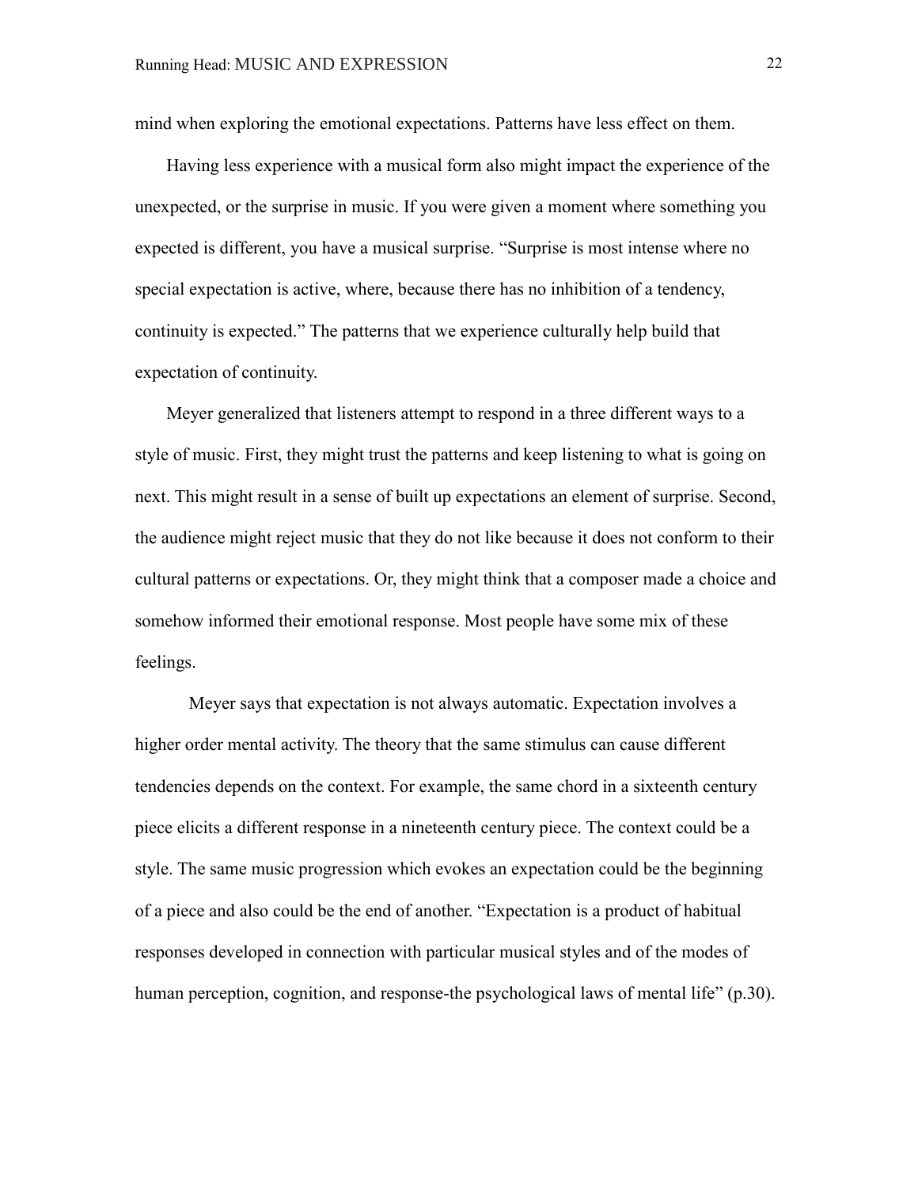mind when exploring the emotional expectations. Patterns have less effect on them.

Having less experience with a musical form also might impact the experience of the unexpected, or the surprise in music. If you were given a moment where something you expected is different, you have a musical surprise. "Surprise is most intense where no special expectation is active, where, because there has no inhibition of a tendency, continuity is expected." The patterns that we experience culturally help build that expectation of continuity.

Meyer generalized that listeners attempt to respond in a three different ways to a style of music. First, they might trust the patterns and keep listening to what is going on next. This might result in a sense of built up expectations an element of surprise. Second, the audience might reject music that they do not like because it does not conform to their cultural patterns or expectations. Or, they might think that a composer made a choice and somehow informed their emotional response. Most people have some mix of these feelings.

Meyer says that expectation is not always automatic. Expectation involves a higher order mental activity. The theory that the same stimulus can cause different tendencies depends on the context. For example, the same chord in a sixteenth century piece elicits a different response in a nineteenth century piece. The context could be a style. The same music progression which evokes an expectation could be the beginning of a piece and also could be the end of another. "Expectation is a product of habitual responses developed in connection with particular musical styles and of the modes of human perception, cognition, and response-the psychological laws of mental life" (p.30).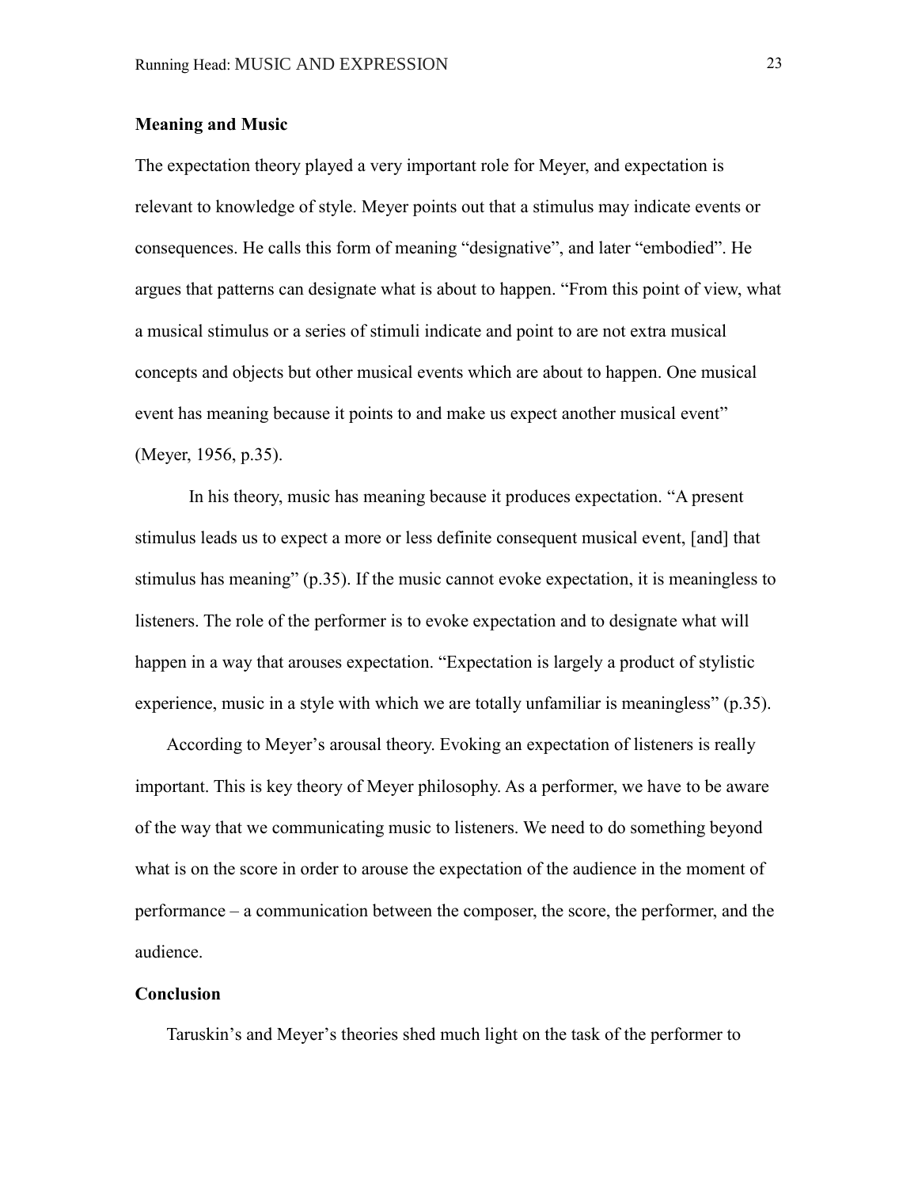# **Meaning and Music**

The expectation theory played a very important role for Meyer, and expectation is relevant to knowledge of style. Meyer points out that a stimulus may indicate events or consequences. He calls this form of meaning "designative", and later "embodied". He argues that patterns can designate what is about to happen. "From this point of view, what a musical stimulus or a series of stimuli indicate and point to are not extra musical concepts and objects but other musical events which are about to happen. One musical event has meaning because it points to and make us expect another musical event" (Meyer, 1956, p.35).

In his theory, music has meaning because it produces expectation. "A present stimulus leads us to expect a more or less definite consequent musical event, [and] that stimulus has meaning" (p.35). If the music cannot evoke expectation, it is meaningless to listeners. The role of the performer is to evoke expectation and to designate what will happen in a way that arouses expectation. "Expectation is largely a product of stylistic experience, music in a style with which we are totally unfamiliar is meaningless" (p.35).

According to Meyer's arousal theory. Evoking an expectation of listeners is really important. This is key theory of Meyer philosophy. As a performer, we have to be aware of the way that we communicating music to listeners. We need to do something beyond what is on the score in order to arouse the expectation of the audience in the moment of performance – a communication between the composer, the score, the performer, and the audience.

### **Conclusion**

Taruskin's and Meyer's theories shed much light on the task of the performer to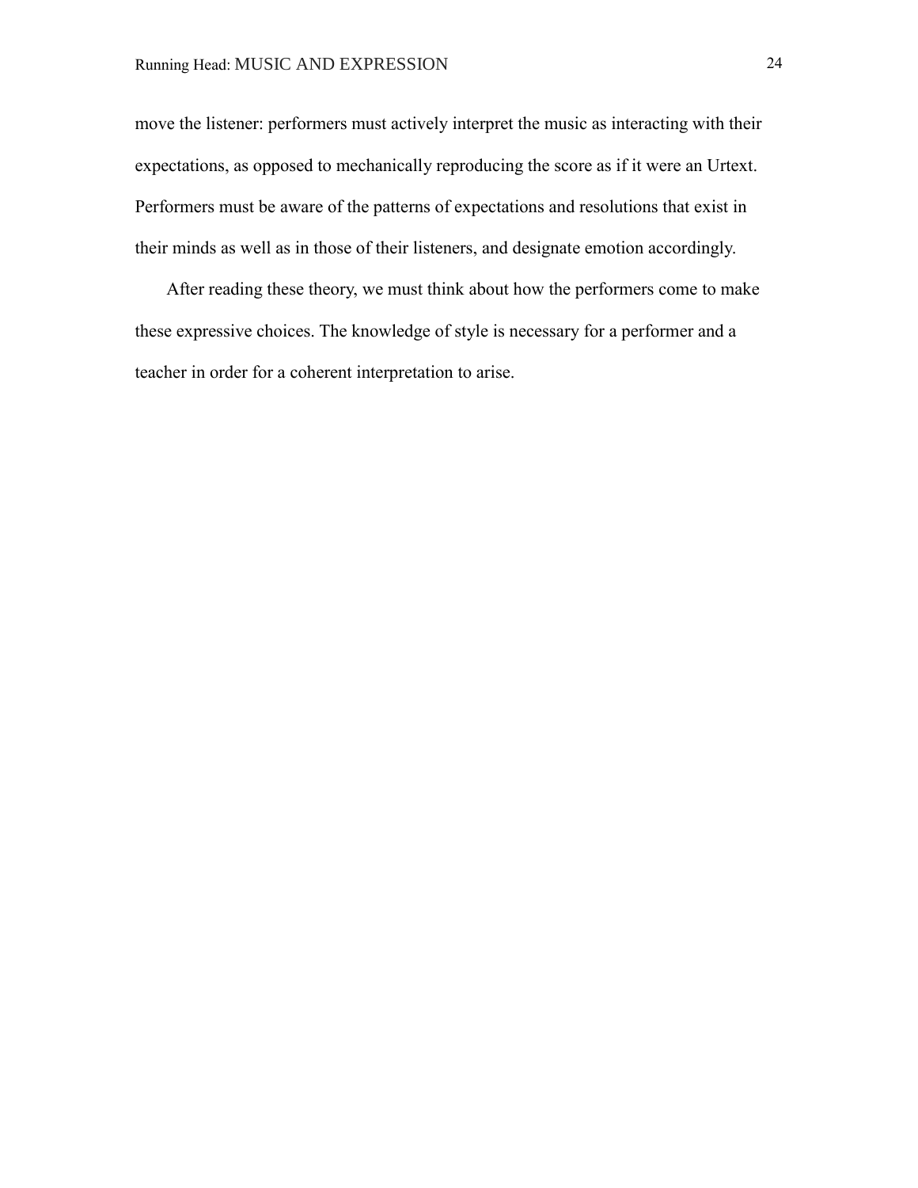move the listener: performers must actively interpret the music as interacting with their expectations, as opposed to mechanically reproducing the score as if it were an Urtext. Performers must be aware of the patterns of expectations and resolutions that exist in their minds as well as in those of their listeners, and designate emotion accordingly.

After reading these theory, we must think about how the performers come to make these expressive choices. The knowledge of style is necessary for a performer and a teacher in order for a coherent interpretation to arise.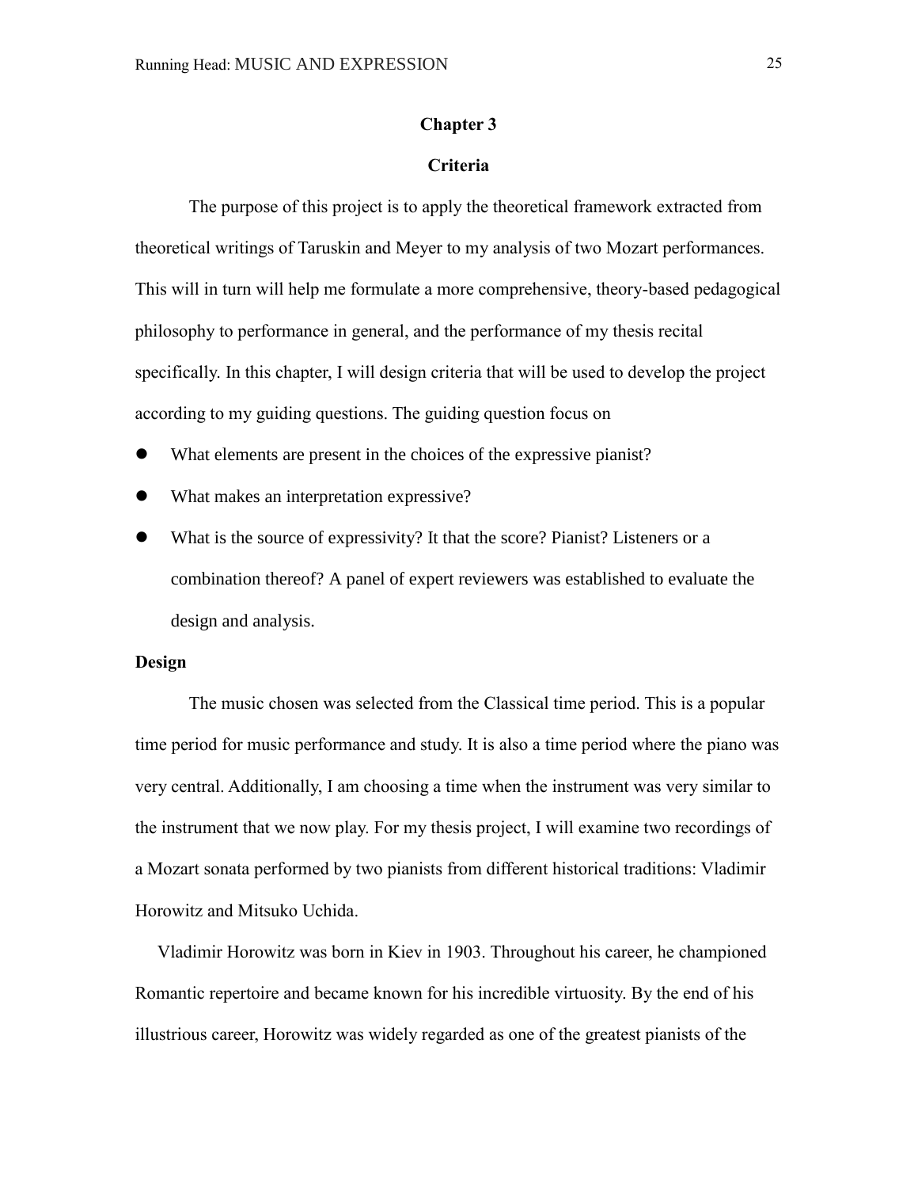### **Chapter 3**

#### **Criteria**

The purpose of this project is to apply the theoretical framework extracted from theoretical writings of Taruskin and Meyer to my analysis of two Mozart performances. This will in turn will help me formulate a more comprehensive, theory-based pedagogical philosophy to performance in general, and the performance of my thesis recital specifically. In this chapter, I will design criteria that will be used to develop the project according to my guiding questions. The guiding question focus on

- What elements are present in the choices of the expressive pianist?
- What makes an interpretation expressive?
- What is the source of expressivity? It that the score? Pianist? Listeners or a combination thereof? A panel of expert reviewers was established to evaluate the design and analysis.

#### **Design**

The music chosen was selected from the Classical time period. This is a popular time period for music performance and study. It is also a time period where the piano was very central. Additionally, I am choosing a time when the instrument was very similar to the instrument that we now play. For my thesis project, I will examine two recordings of a Mozart sonata performed by two pianists from different historical traditions: Vladimir Horowitz and Mitsuko Uchida.

Vladimir Horowitz was born in Kiev in 1903. Throughout his career, he championed Romantic repertoire and became known for his incredible virtuosity. By the end of his illustrious career, Horowitz was widely regarded as one of the greatest pianists of the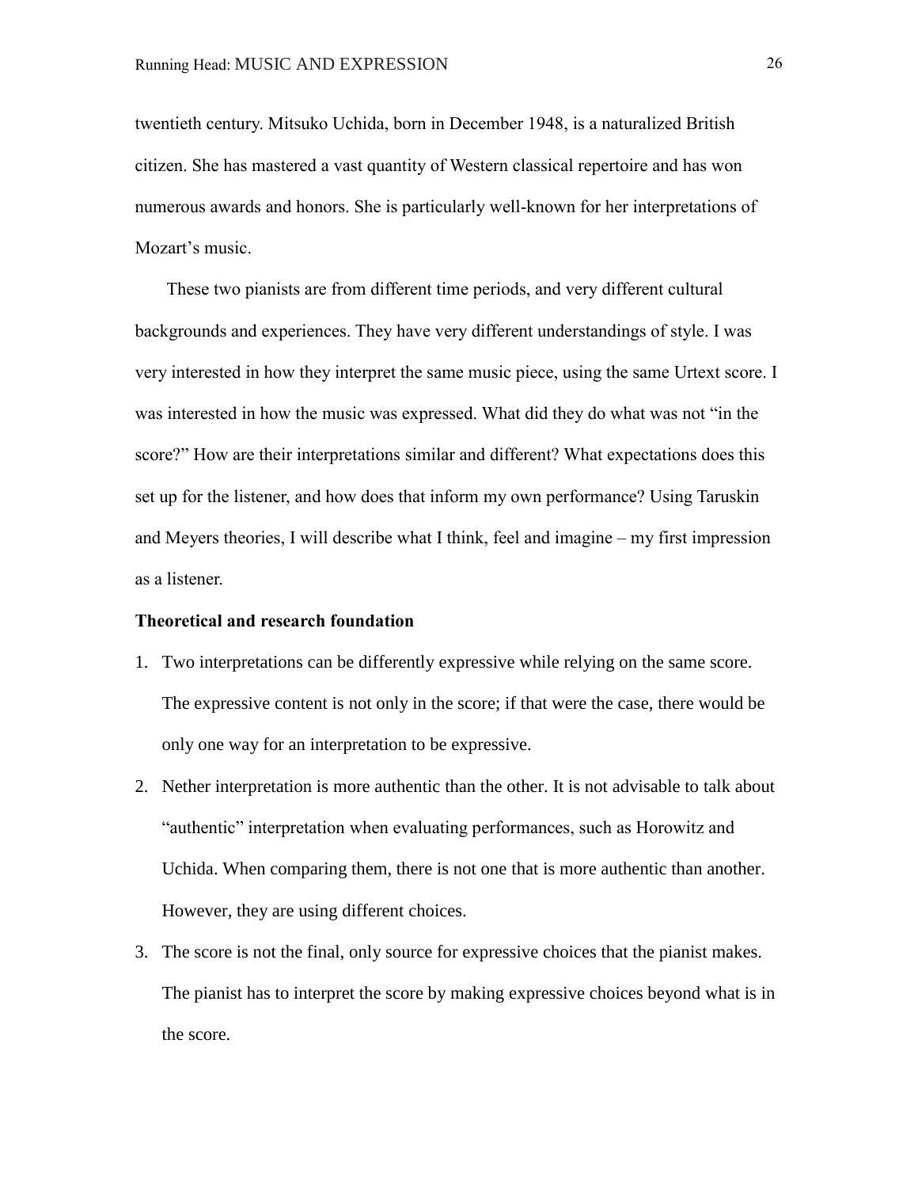twentieth century. Mitsuko Uchida, born in December 1948, is a naturalized British citizen. She has mastered a vast quantity of Western classical repertoire and has won numerous awards and honors. She is particularly well-known for her interpretations of Mozart's music.

These two pianists are from different time periods, and very different cultural backgrounds and experiences. They have very different understandings of style. I was very interested in how they interpret the same music piece, using the same Urtext score. I was interested in how the music was expressed. What did they do what was not "in the score?" How are their interpretations similar and different? What expectations does this set up for the listener, and how does that inform my own performance? Using Taruskin and Meyers theories, I will describe what I think, feel and imagine – my first impression as a listener.

#### **Theoretical and research foundation**

- 1. Two interpretations can be differently expressive while relying on the same score. The expressive content is not only in the score; if that were the case, there would be only one way for an interpretation to be expressive.
- 2. Nether interpretation is more authentic than the other. It is not advisable to talk about "authentic" interpretation when evaluating performances, such as Horowitz and Uchida. When comparing them, there is not one that is more authentic than another. However, they are using different choices.
- 3. The score is not the final, only source for expressive choices that the pianist makes. The pianist has to interpret the score by making expressive choices beyond what is in the score.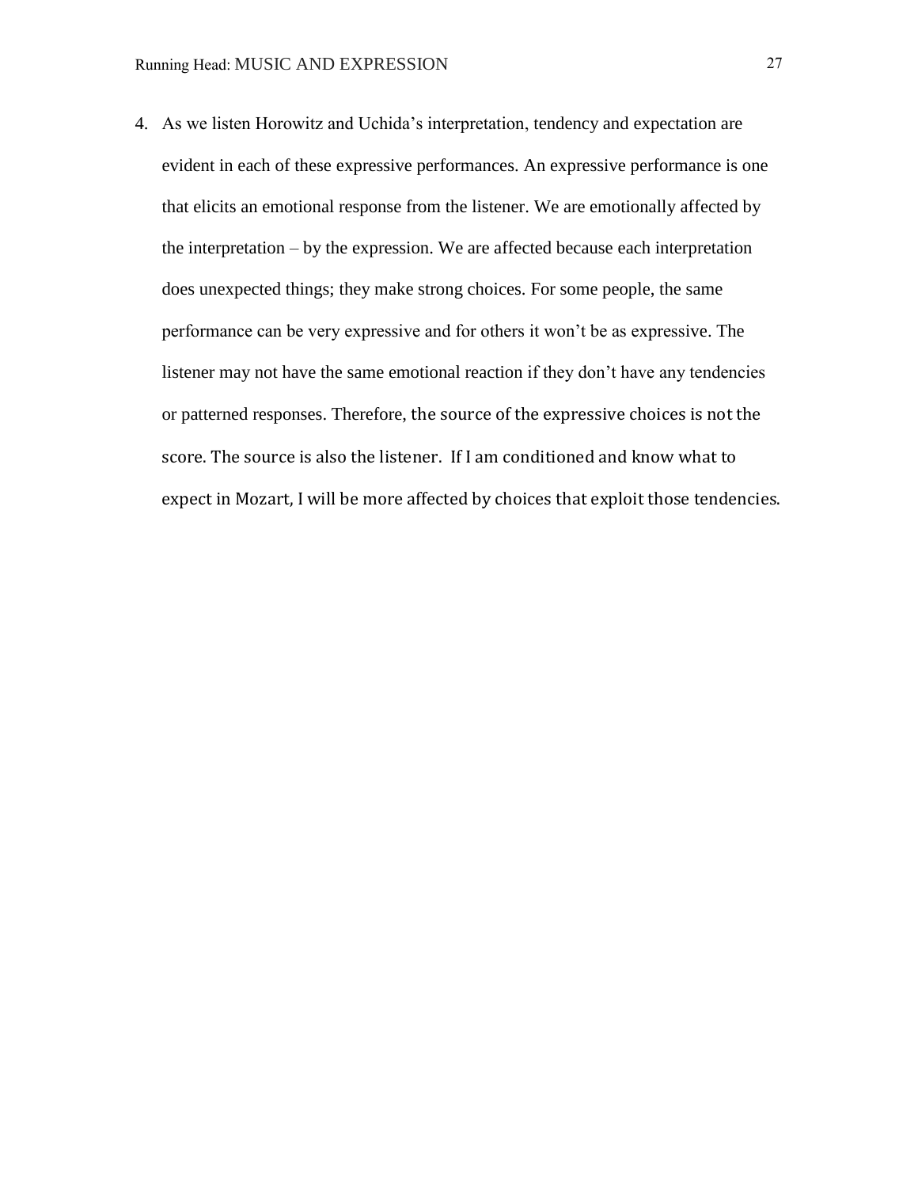4. As we listen Horowitz and Uchida's interpretation, tendency and expectation are evident in each of these expressive performances. An expressive performance is one that elicits an emotional response from the listener. We are emotionally affected by the interpretation – by the expression. We are affected because each interpretation does unexpected things; they make strong choices. For some people, the same performance can be very expressive and for others it won't be as expressive. The listener may not have the same emotional reaction if they don't have any tendencies or patterned responses. Therefore, the source of the expressive choices is not the score. The source is also the listener. If I am conditioned and know what to expect in Mozart, I will be more affected by choices that exploit those tendencies.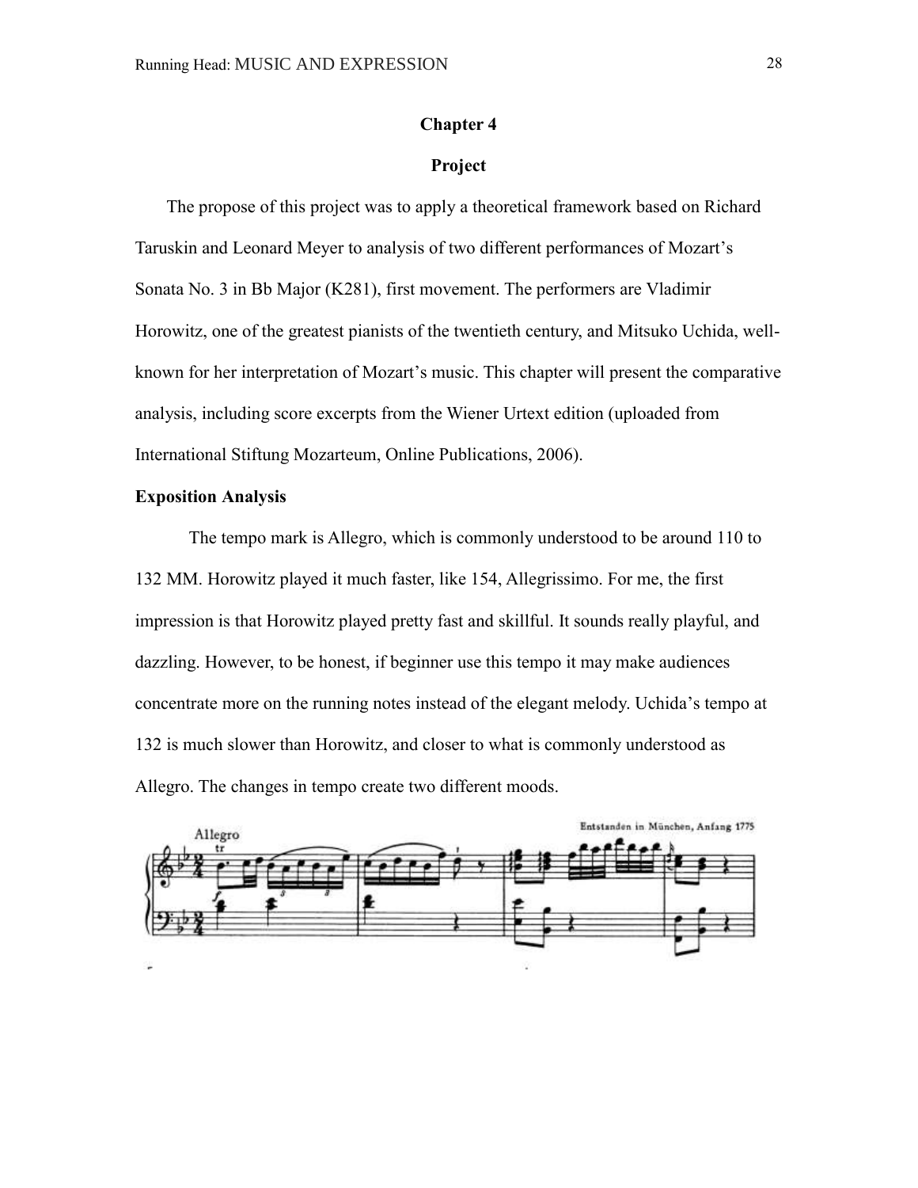# **Chapter 4**

### **Project**

 The propose of this project was to apply a theoretical framework based on Richard Taruskin and Leonard Meyer to analysis of two different performances of Mozart's Sonata No. 3 in Bb Major (K281), first movement. The performers are Vladimir Horowitz, one of the greatest pianists of the twentieth century, and Mitsuko Uchida, wellknown for her interpretation of Mozart's music. This chapter will present the comparative analysis, including score excerpts from the Wiener Urtext edition (uploaded from International Stiftung Mozarteum, Online Publications, 2006).

# **Exposition Analysis**

The tempo mark is Allegro, which is commonly understood to be around 110 to 132 MM. Horowitz played it much faster, like 154, Allegrissimo. For me, the first impression is that Horowitz played pretty fast and skillful. It sounds really playful, and dazzling. However, to be honest, if beginner use this tempo it may make audiences concentrate more on the running notes instead of the elegant melody. Uchida's tempo at 132 is much slower than Horowitz, and closer to what is commonly understood as Allegro. The changes in tempo create two different moods.

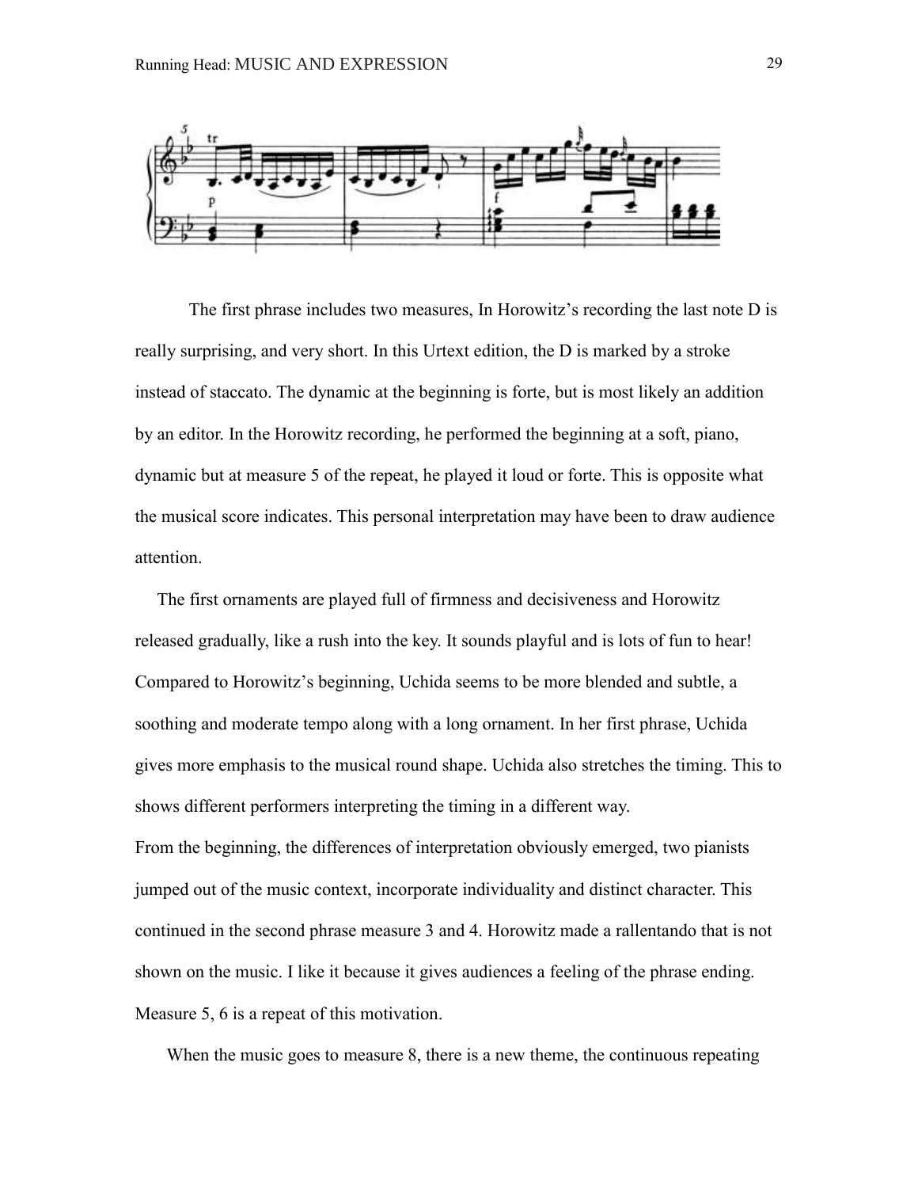

The first phrase includes two measures, In Horowitz's recording the last note D is really surprising, and very short. In this Urtext edition, the D is marked by a stroke instead of staccato. The dynamic at the beginning is forte, but is most likely an addition by an editor. In the Horowitz recording, he performed the beginning at a soft, piano, dynamic but at measure 5 of the repeat, he played it loud or forte. This is opposite what the musical score indicates. This personal interpretation may have been to draw audience attention.

 The first ornaments are played full of firmness and decisiveness and Horowitz released gradually, like a rush into the key. It sounds playful and is lots of fun to hear! Compared to Horowitz's beginning, Uchida seems to be more blended and subtle, a soothing and moderate tempo along with a long ornament. In her first phrase, Uchida gives more emphasis to the musical round shape. Uchida also stretches the timing. This to shows different performers interpreting the timing in a different way. From the beginning, the differences of interpretation obviously emerged, two pianists jumped out of the music context, incorporate individuality and distinct character. This continued in the second phrase measure 3 and 4. Horowitz made a rallentando that is not shown on the music. I like it because it gives audiences a feeling of the phrase ending. Measure 5, 6 is a repeat of this motivation.

When the music goes to measure 8, there is a new theme, the continuous repeating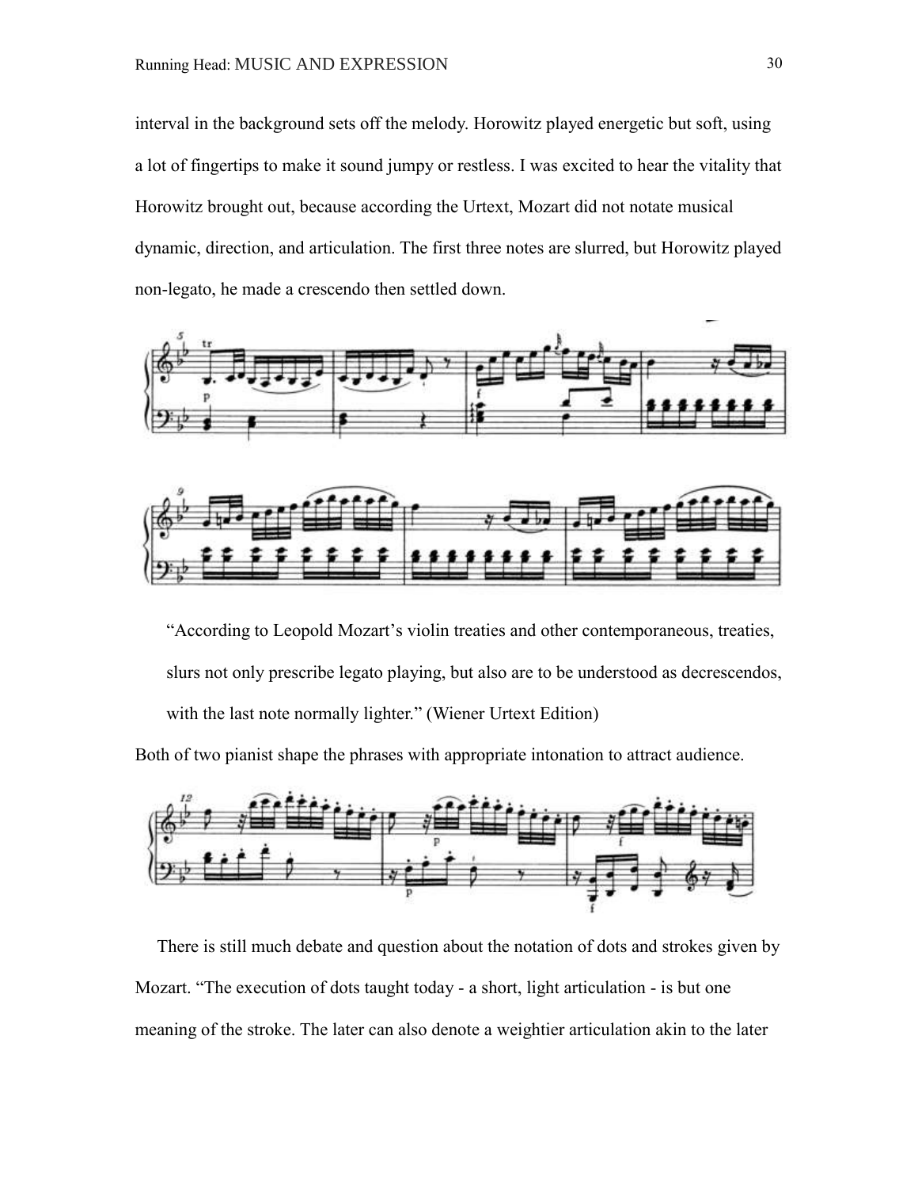interval in the background sets off the melody. Horowitz played energetic but soft, using a lot of fingertips to make it sound jumpy or restless. I was excited to hear the vitality that Horowitz brought out, because according the Urtext, Mozart did not notate musical dynamic, direction, and articulation. The first three notes are slurred, but Horowitz played non-legato, he made a crescendo then settled down.



"According to Leopold Mozart's violin treaties and other contemporaneous, treaties, slurs not only prescribe legato playing, but also are to be understood as decrescendos, with the last note normally lighter." (Wiener Urtext Edition)

Both of two pianist shape the phrases with appropriate intonation to attract audience.



 There is still much debate and question about the notation of dots and strokes given by Mozart. "The execution of dots taught today - a short, light articulation - is but one meaning of the stroke. The later can also denote a weightier articulation akin to the later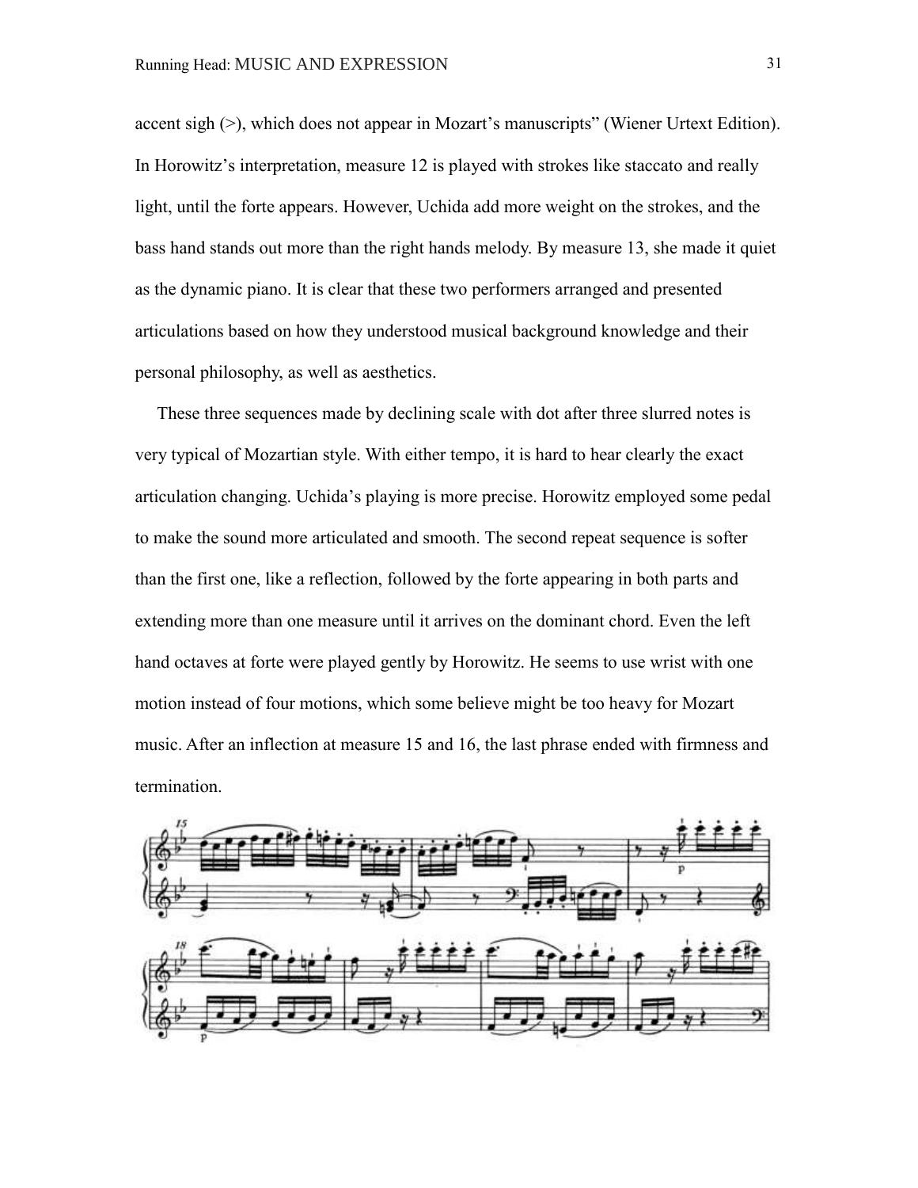accent sigh (>), which does not appear in Mozart's manuscripts" (Wiener Urtext Edition). In Horowitz's interpretation, measure 12 is played with strokes like staccato and really light, until the forte appears. However, Uchida add more weight on the strokes, and the bass hand stands out more than the right hands melody. By measure 13, she made it quiet as the dynamic piano. It is clear that these two performers arranged and presented articulations based on how they understood musical background knowledge and their personal philosophy, as well as aesthetics.

 These three sequences made by declining scale with dot after three slurred notes is very typical of Mozartian style. With either tempo, it is hard to hear clearly the exact articulation changing. Uchida's playing is more precise. Horowitz employed some pedal to make the sound more articulated and smooth. The second repeat sequence is softer than the first one, like a reflection, followed by the forte appearing in both parts and extending more than one measure until it arrives on the dominant chord. Even the left hand octaves at forte were played gently by Horowitz. He seems to use wrist with one motion instead of four motions, which some believe might be too heavy for Mozart music. After an inflection at measure 15 and 16, the last phrase ended with firmness and termination.

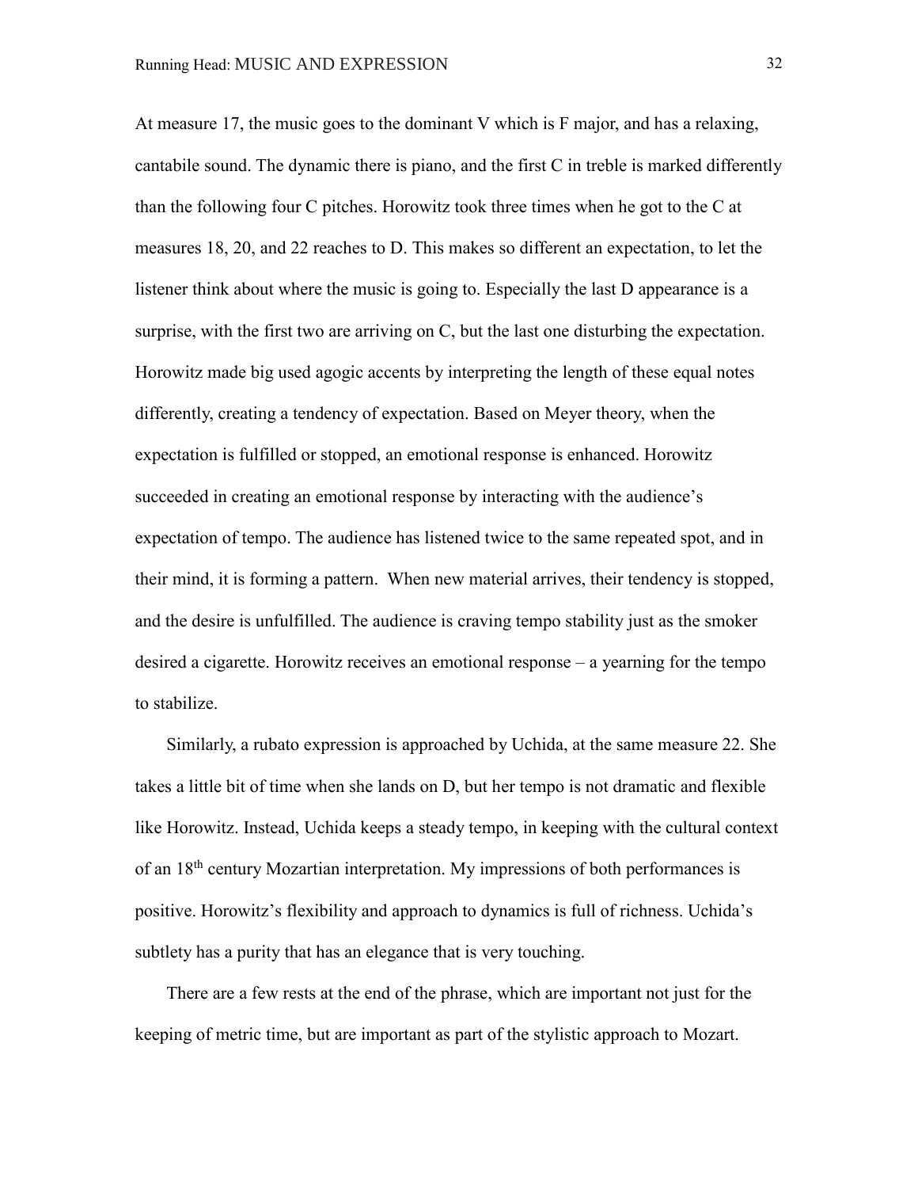At measure 17, the music goes to the dominant V which is F major, and has a relaxing, cantabile sound. The dynamic there is piano, and the first C in treble is marked differently than the following four C pitches. Horowitz took three times when he got to the C at measures 18, 20, and 22 reaches to D. This makes so different an expectation, to let the listener think about where the music is going to. Especially the last D appearance is a surprise, with the first two are arriving on C, but the last one disturbing the expectation. Horowitz made big used agogic accents by interpreting the length of these equal notes differently, creating a tendency of expectation. Based on Meyer theory, when the expectation is fulfilled or stopped, an emotional response is enhanced. Horowitz succeeded in creating an emotional response by interacting with the audience's expectation of tempo. The audience has listened twice to the same repeated spot, and in their mind, it is forming a pattern. When new material arrives, their tendency is stopped, and the desire is unfulfilled. The audience is craving tempo stability just as the smoker desired a cigarette. Horowitz receives an emotional response – a yearning for the tempo to stabilize.

Similarly, a rubato expression is approached by Uchida, at the same measure 22. She takes a little bit of time when she lands on D, but her tempo is not dramatic and flexible like Horowitz. Instead, Uchida keeps a steady tempo, in keeping with the cultural context of an 18th century Mozartian interpretation. My impressions of both performances is positive. Horowitz's flexibility and approach to dynamics is full of richness. Uchida's subtlety has a purity that has an elegance that is very touching.

There are a few rests at the end of the phrase, which are important not just for the keeping of metric time, but are important as part of the stylistic approach to Mozart.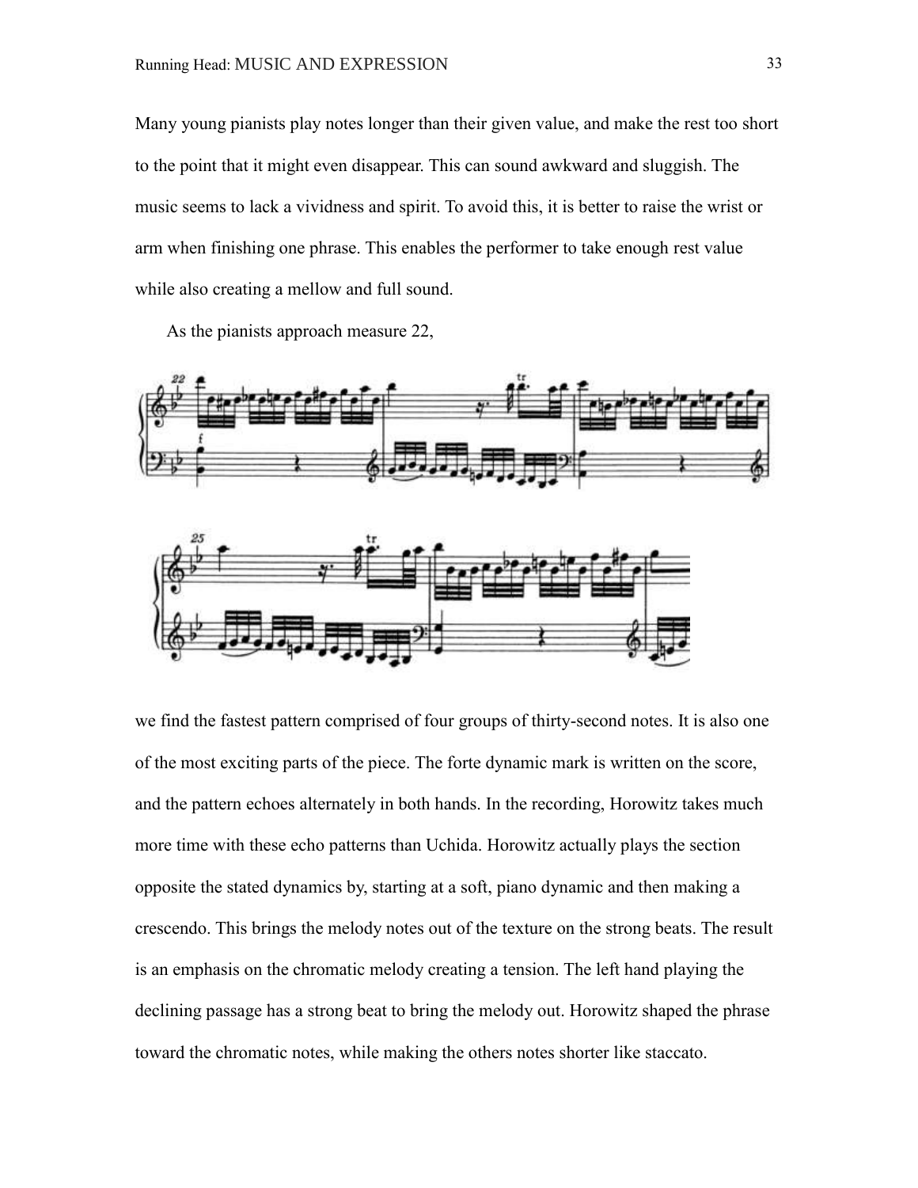Many young pianists play notes longer than their given value, and make the rest too short to the point that it might even disappear. This can sound awkward and sluggish. The music seems to lack a vividness and spirit. To avoid this, it is better to raise the wrist or arm when finishing one phrase. This enables the performer to take enough rest value while also creating a mellow and full sound.

As the pianists approach measure 22,



we find the fastest pattern comprised of four groups of thirty-second notes. It is also one of the most exciting parts of the piece. The forte dynamic mark is written on the score, and the pattern echoes alternately in both hands. In the recording, Horowitz takes much more time with these echo patterns than Uchida. Horowitz actually plays the section opposite the stated dynamics by, starting at a soft, piano dynamic and then making a crescendo. This brings the melody notes out of the texture on the strong beats. The result is an emphasis on the chromatic melody creating a tension. The left hand playing the declining passage has a strong beat to bring the melody out. Horowitz shaped the phrase toward the chromatic notes, while making the others notes shorter like staccato.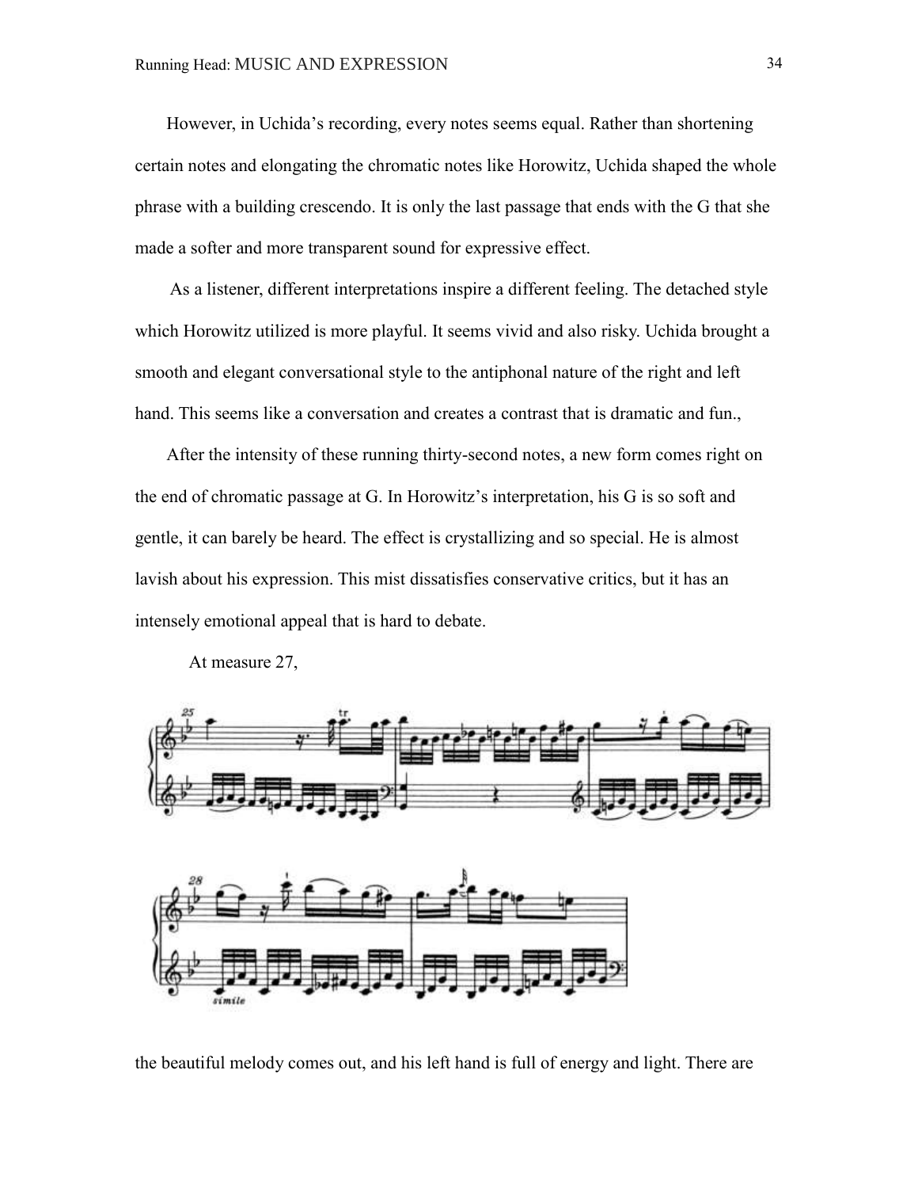However, in Uchida's recording, every notes seems equal. Rather than shortening certain notes and elongating the chromatic notes like Horowitz, Uchida shaped the whole phrase with a building crescendo. It is only the last passage that ends with the G that she made a softer and more transparent sound for expressive effect.

As a listener, different interpretations inspire a different feeling. The detached style which Horowitz utilized is more playful. It seems vivid and also risky. Uchida brought a smooth and elegant conversational style to the antiphonal nature of the right and left hand. This seems like a conversation and creates a contrast that is dramatic and fun.,

After the intensity of these running thirty-second notes, a new form comes right on the end of chromatic passage at G. In Horowitz's interpretation, his G is so soft and gentle, it can barely be heard. The effect is crystallizing and so special. He is almost lavish about his expression. This mist dissatisfies conservative critics, but it has an intensely emotional appeal that is hard to debate.

At measure 27,





the beautiful melody comes out, and his left hand is full of energy and light. There are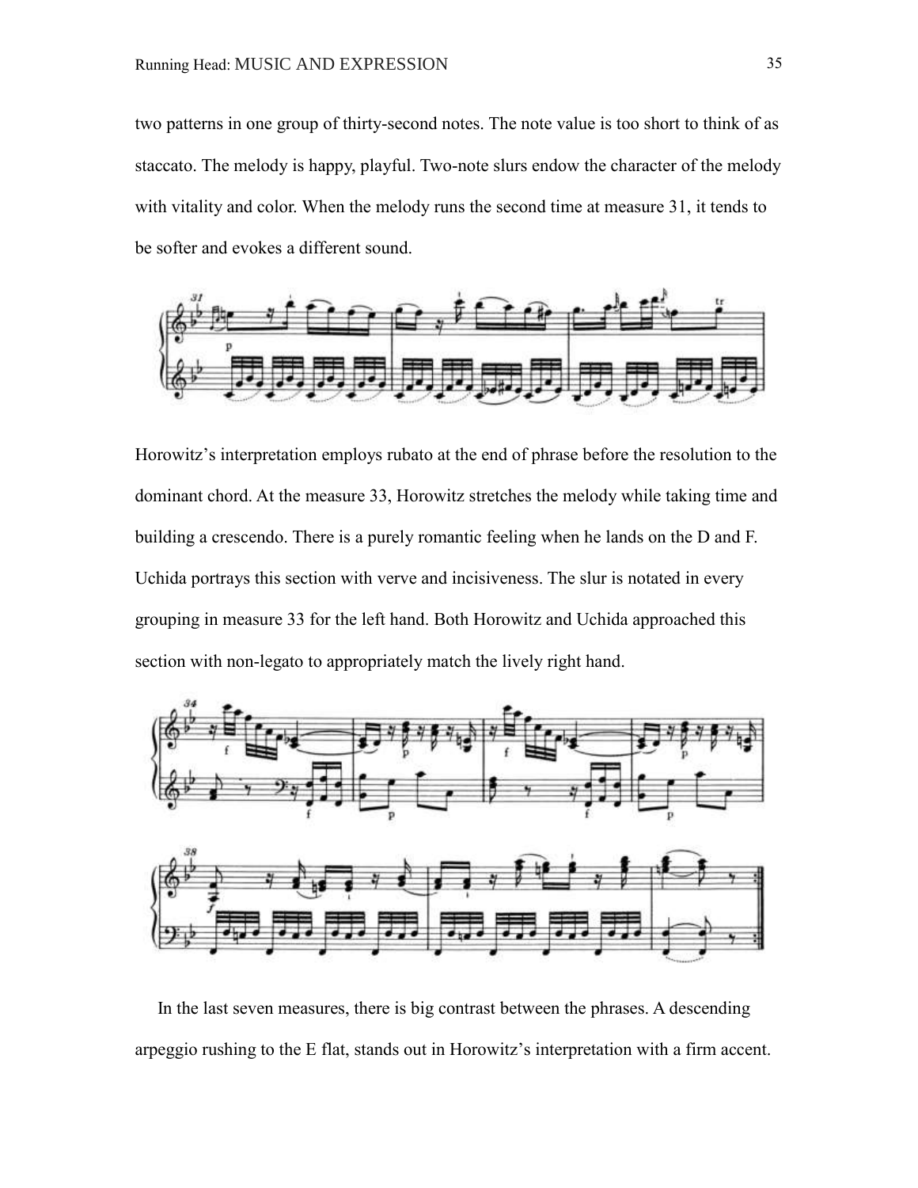two patterns in one group of thirty-second notes. The note value is too short to think of as staccato. The melody is happy, playful. Two-note slurs endow the character of the melody with vitality and color. When the melody runs the second time at measure 31, it tends to be softer and evokes a different sound.



Horowitz's interpretation employs rubato at the end of phrase before the resolution to the dominant chord. At the measure 33, Horowitz stretches the melody while taking time and building a crescendo. There is a purely romantic feeling when he lands on the D and F. Uchida portrays this section with verve and incisiveness. The slur is notated in every grouping in measure 33 for the left hand. Both Horowitz and Uchida approached this section with non-legato to appropriately match the lively right hand.



 In the last seven measures, there is big contrast between the phrases. A descending arpeggio rushing to the E flat, stands out in Horowitz's interpretation with a firm accent.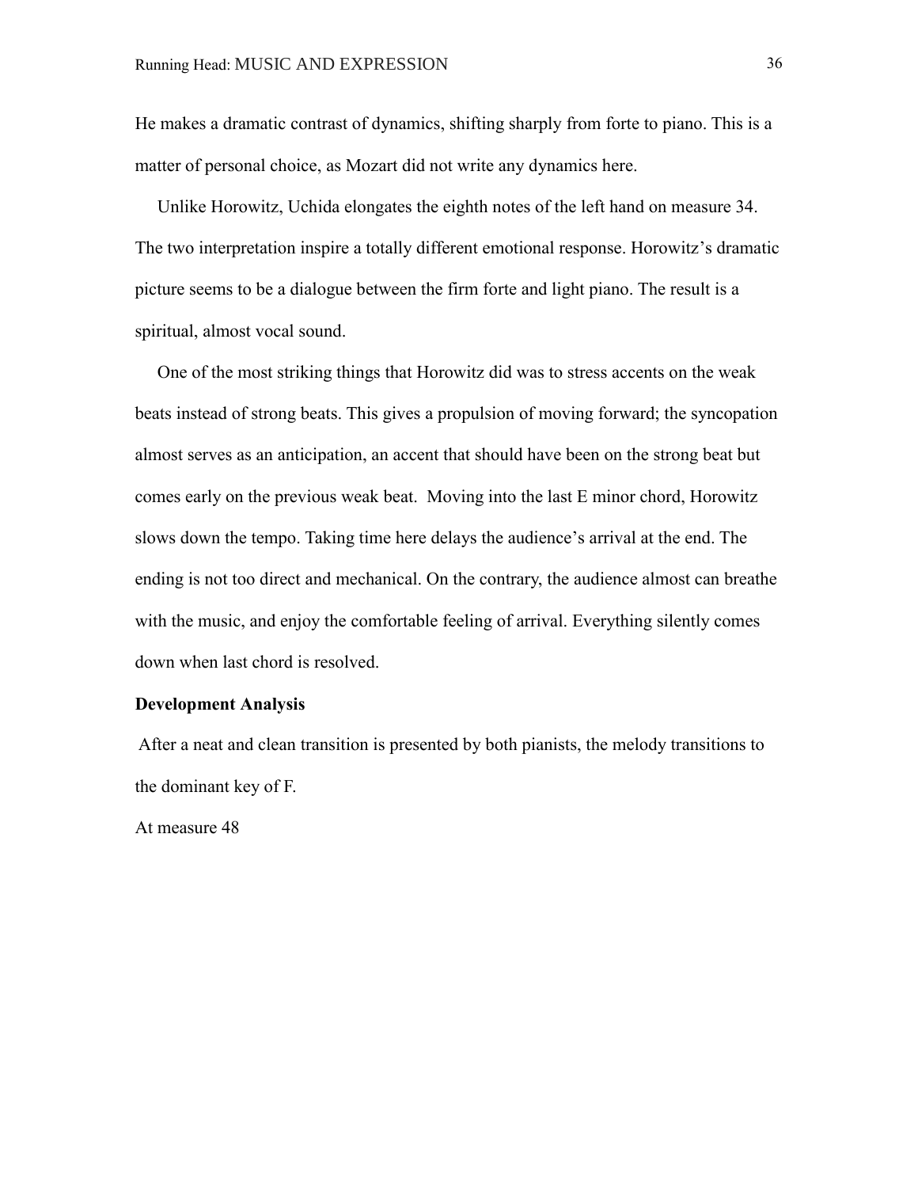He makes a dramatic contrast of dynamics, shifting sharply from forte to piano. This is a matter of personal choice, as Mozart did not write any dynamics here.

 Unlike Horowitz, Uchida elongates the eighth notes of the left hand on measure 34. The two interpretation inspire a totally different emotional response. Horowitz's dramatic picture seems to be a dialogue between the firm forte and light piano. The result is a spiritual, almost vocal sound.

 One of the most striking things that Horowitz did was to stress accents on the weak beats instead of strong beats. This gives a propulsion of moving forward; the syncopation almost serves as an anticipation, an accent that should have been on the strong beat but comes early on the previous weak beat. Moving into the last E minor chord, Horowitz slows down the tempo. Taking time here delays the audience's arrival at the end. The ending is not too direct and mechanical. On the contrary, the audience almost can breathe with the music, and enjoy the comfortable feeling of arrival. Everything silently comes down when last chord is resolved.

# **Development Analysis**

After a neat and clean transition is presented by both pianists, the melody transitions to the dominant key of F.

At measure 48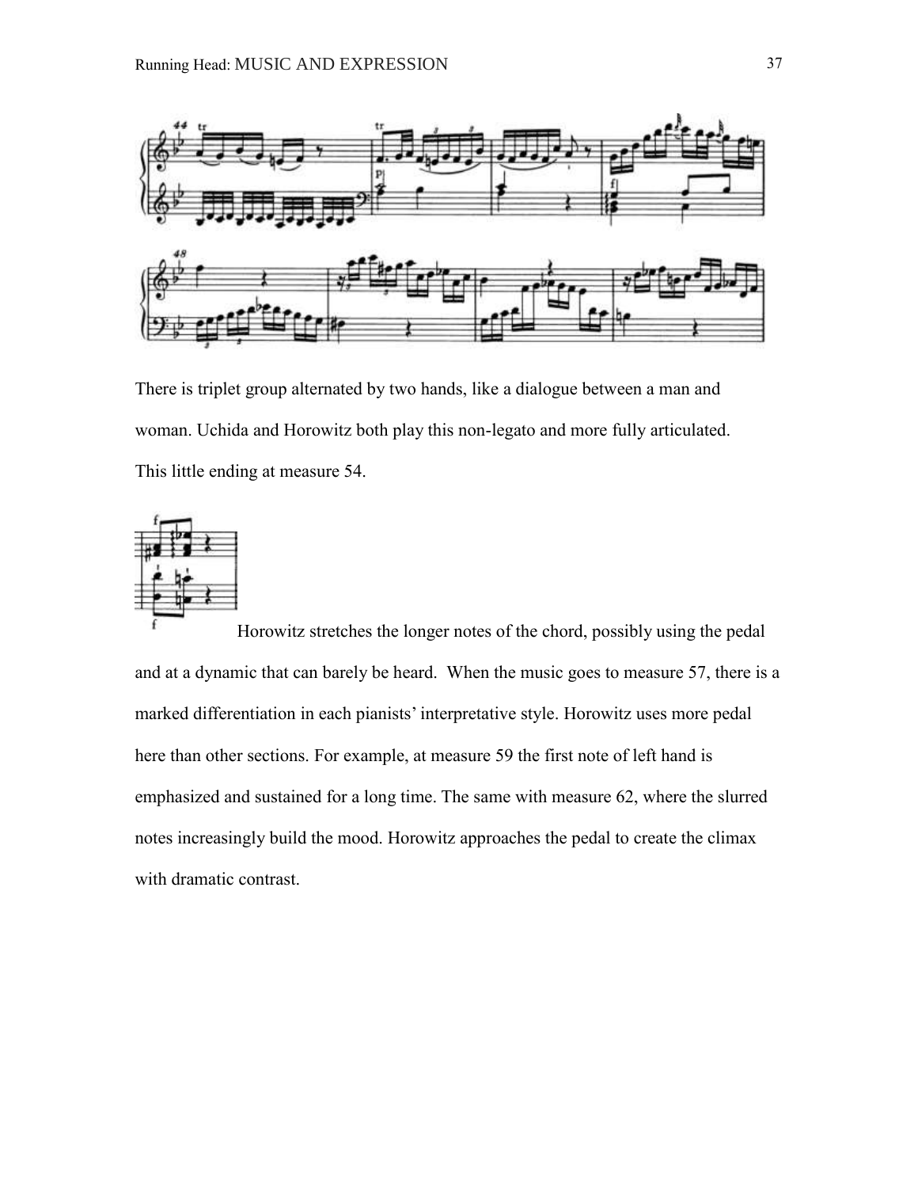

There is triplet group alternated by two hands, like a dialogue between a man and woman. Uchida and Horowitz both play this non-legato and more fully articulated. This little ending at measure 54.



Horowitz stretches the longer notes of the chord, possibly using the pedal and at a dynamic that can barely be heard. When the music goes to measure 57, there is a marked differentiation in each pianists' interpretative style. Horowitz uses more pedal here than other sections. For example, at measure 59 the first note of left hand is emphasized and sustained for a long time. The same with measure 62, where the slurred notes increasingly build the mood. Horowitz approaches the pedal to create the climax with dramatic contrast.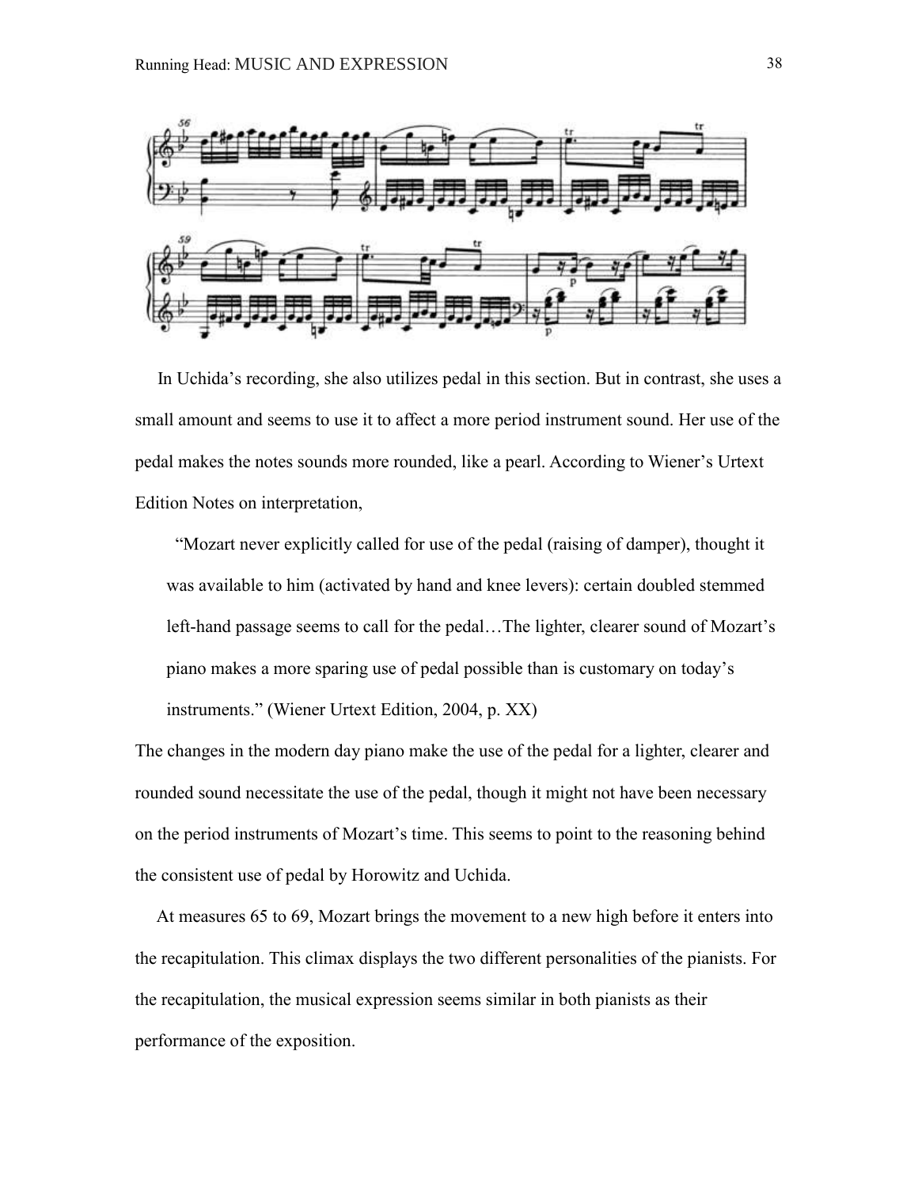

 In Uchida's recording, she also utilizes pedal in this section. But in contrast, she uses a small amount and seems to use it to affect a more period instrument sound. Her use of the pedal makes the notes sounds more rounded, like a pearl. According to Wiener's Urtext Edition Notes on interpretation,

"Mozart never explicitly called for use of the pedal (raising of damper), thought it was available to him (activated by hand and knee levers): certain doubled stemmed left-hand passage seems to call for the pedal…The lighter, clearer sound of Mozart's piano makes a more sparing use of pedal possible than is customary on today's instruments." (Wiener Urtext Edition, 2004, p. XX)

The changes in the modern day piano make the use of the pedal for a lighter, clearer and rounded sound necessitate the use of the pedal, though it might not have been necessary on the period instruments of Mozart's time. This seems to point to the reasoning behind the consistent use of pedal by Horowitz and Uchida.

 At measures 65 to 69, Mozart brings the movement to a new high before it enters into the recapitulation. This climax displays the two different personalities of the pianists. For the recapitulation, the musical expression seems similar in both pianists as their performance of the exposition.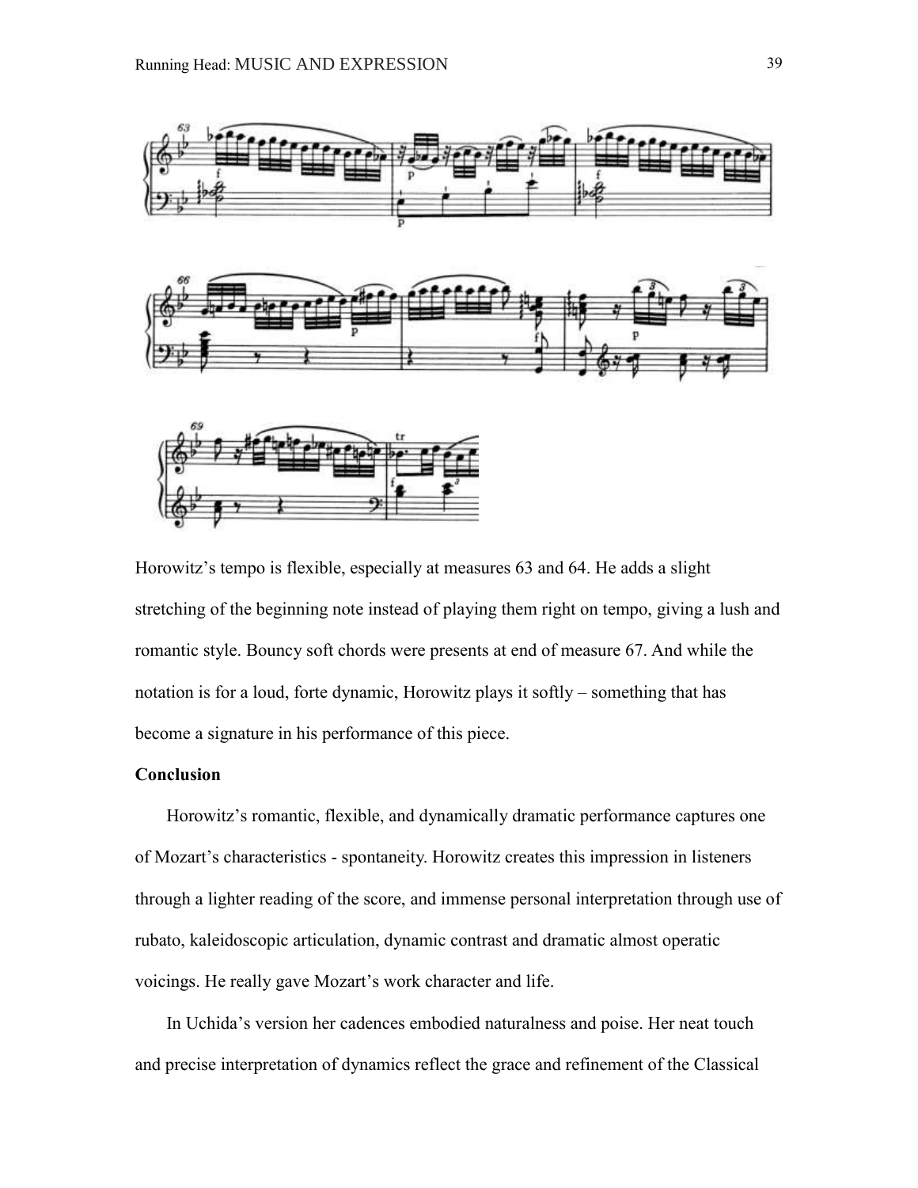





Horowitz's tempo is flexible, especially at measures 63 and 64. He adds a slight stretching of the beginning note instead of playing them right on tempo, giving a lush and romantic style. Bouncy soft chords were presents at end of measure 67. And while the notation is for a loud, forte dynamic, Horowitz plays it softly – something that has become a signature in his performance of this piece.

# **Conclusion**

Horowitz's romantic, flexible, and dynamically dramatic performance captures one of Mozart's characteristics - spontaneity. Horowitz creates this impression in listeners through a lighter reading of the score, and immense personal interpretation through use of rubato, kaleidoscopic articulation, dynamic contrast and dramatic almost operatic voicings. He really gave Mozart's work character and life.

In Uchida's version her cadences embodied naturalness and poise. Her neat touch and precise interpretation of dynamics reflect the grace and refinement of the Classical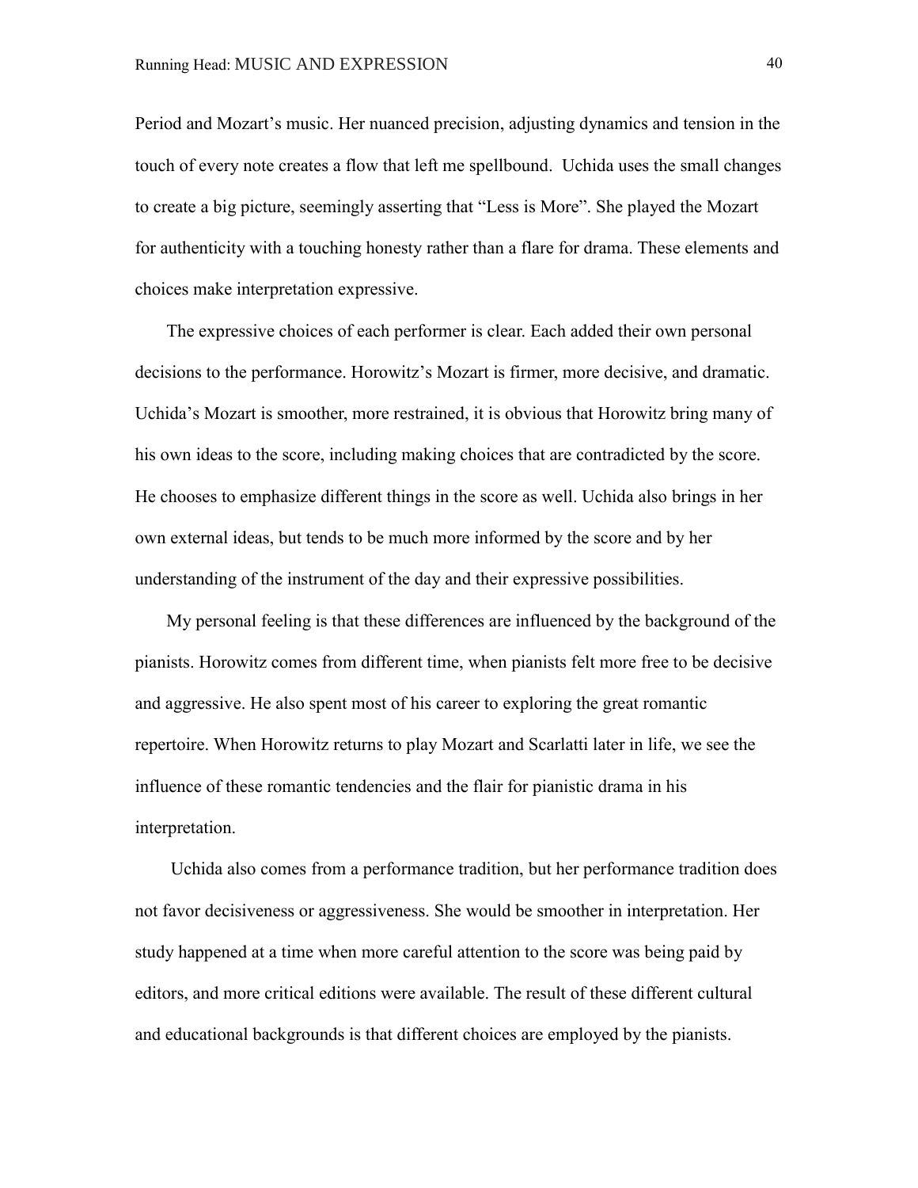Period and Mozart's music. Her nuanced precision, adjusting dynamics and tension in the touch of every note creates a flow that left me spellbound. Uchida uses the small changes to create a big picture, seemingly asserting that "Less is More". She played the Mozart for authenticity with a touching honesty rather than a flare for drama. These elements and choices make interpretation expressive.

The expressive choices of each performer is clear. Each added their own personal decisions to the performance. Horowitz's Mozart is firmer, more decisive, and dramatic. Uchida's Mozart is smoother, more restrained, it is obvious that Horowitz bring many of his own ideas to the score, including making choices that are contradicted by the score. He chooses to emphasize different things in the score as well. Uchida also brings in her own external ideas, but tends to be much more informed by the score and by her understanding of the instrument of the day and their expressive possibilities.

My personal feeling is that these differences are influenced by the background of the pianists. Horowitz comes from different time, when pianists felt more free to be decisive and aggressive. He also spent most of his career to exploring the great romantic repertoire. When Horowitz returns to play Mozart and Scarlatti later in life, we see the influence of these romantic tendencies and the flair for pianistic drama in his interpretation.

Uchida also comes from a performance tradition, but her performance tradition does not favor decisiveness or aggressiveness. She would be smoother in interpretation. Her study happened at a time when more careful attention to the score was being paid by editors, and more critical editions were available. The result of these different cultural and educational backgrounds is that different choices are employed by the pianists.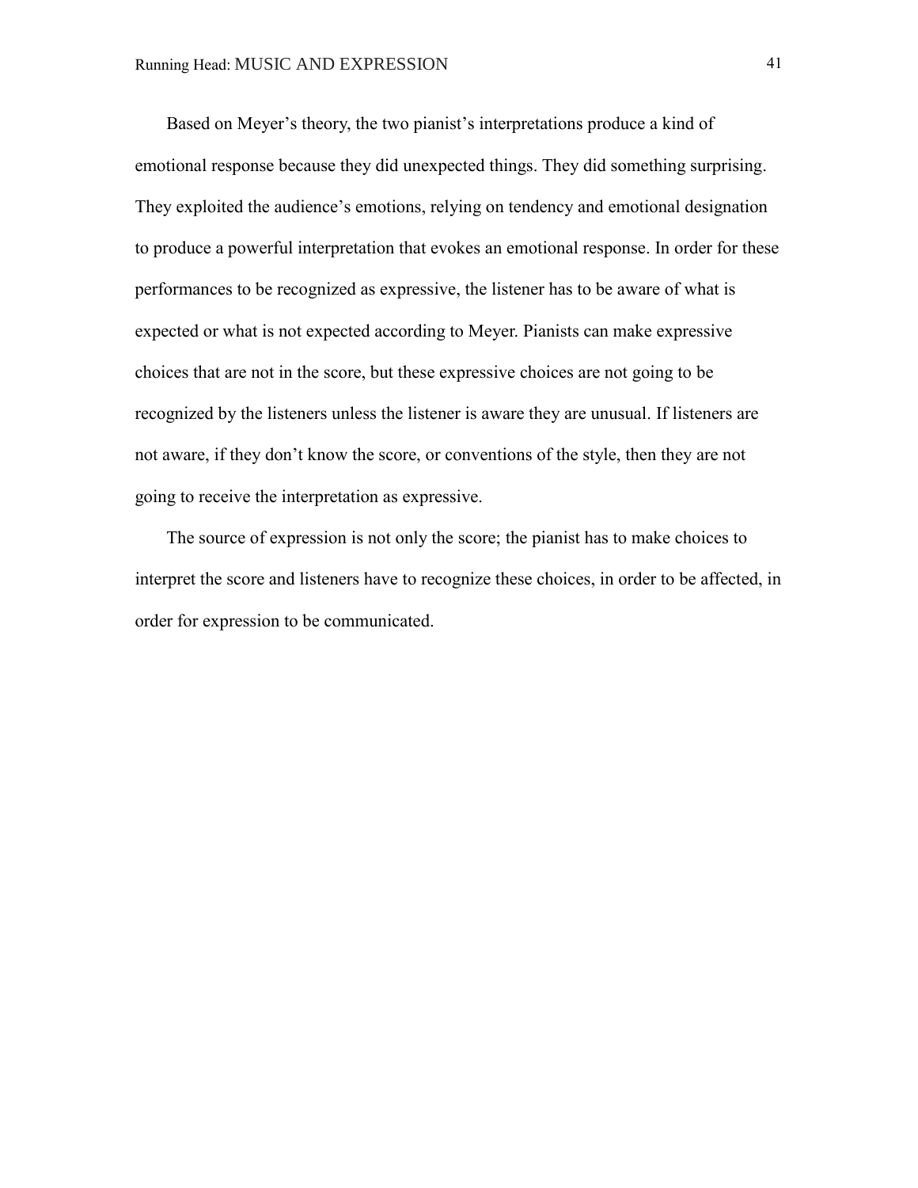Based on Meyer's theory, the two pianist's interpretations produce a kind of emotional response because they did unexpected things. They did something surprising. They exploited the audience's emotions, relying on tendency and emotional designation to produce a powerful interpretation that evokes an emotional response. In order for these performances to be recognized as expressive, the listener has to be aware of what is expected or what is not expected according to Meyer. Pianists can make expressive choices that are not in the score, but these expressive choices are not going to be recognized by the listeners unless the listener is aware they are unusual. If listeners are not aware, if they don't know the score, or conventions of the style, then they are not going to receive the interpretation as expressive.

The source of expression is not only the score; the pianist has to make choices to interpret the score and listeners have to recognize these choices, in order to be affected, in order for expression to be communicated.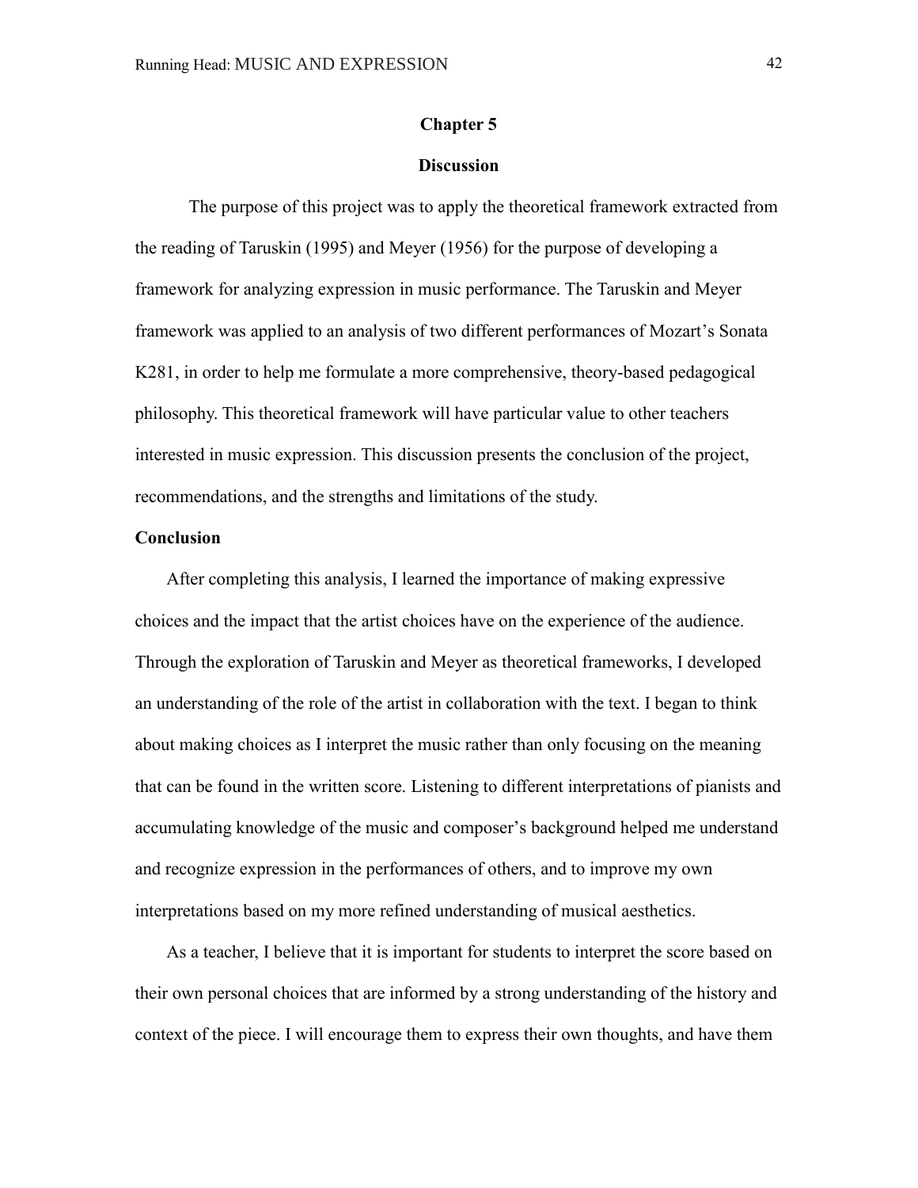### **Chapter 5**

### **Discussion**

The purpose of this project was to apply the theoretical framework extracted from the reading of Taruskin (1995) and Meyer (1956) for the purpose of developing a framework for analyzing expression in music performance. The Taruskin and Meyer framework was applied to an analysis of two different performances of Mozart's Sonata K281, in order to help me formulate a more comprehensive, theory-based pedagogical philosophy. This theoretical framework will have particular value to other teachers interested in music expression. This discussion presents the conclusion of the project, recommendations, and the strengths and limitations of the study.

### **Conclusion**

After completing this analysis, I learned the importance of making expressive choices and the impact that the artist choices have on the experience of the audience. Through the exploration of Taruskin and Meyer as theoretical frameworks, I developed an understanding of the role of the artist in collaboration with the text. I began to think about making choices as I interpret the music rather than only focusing on the meaning that can be found in the written score. Listening to different interpretations of pianists and accumulating knowledge of the music and composer's background helped me understand and recognize expression in the performances of others, and to improve my own interpretations based on my more refined understanding of musical aesthetics.

As a teacher, I believe that it is important for students to interpret the score based on their own personal choices that are informed by a strong understanding of the history and context of the piece. I will encourage them to express their own thoughts, and have them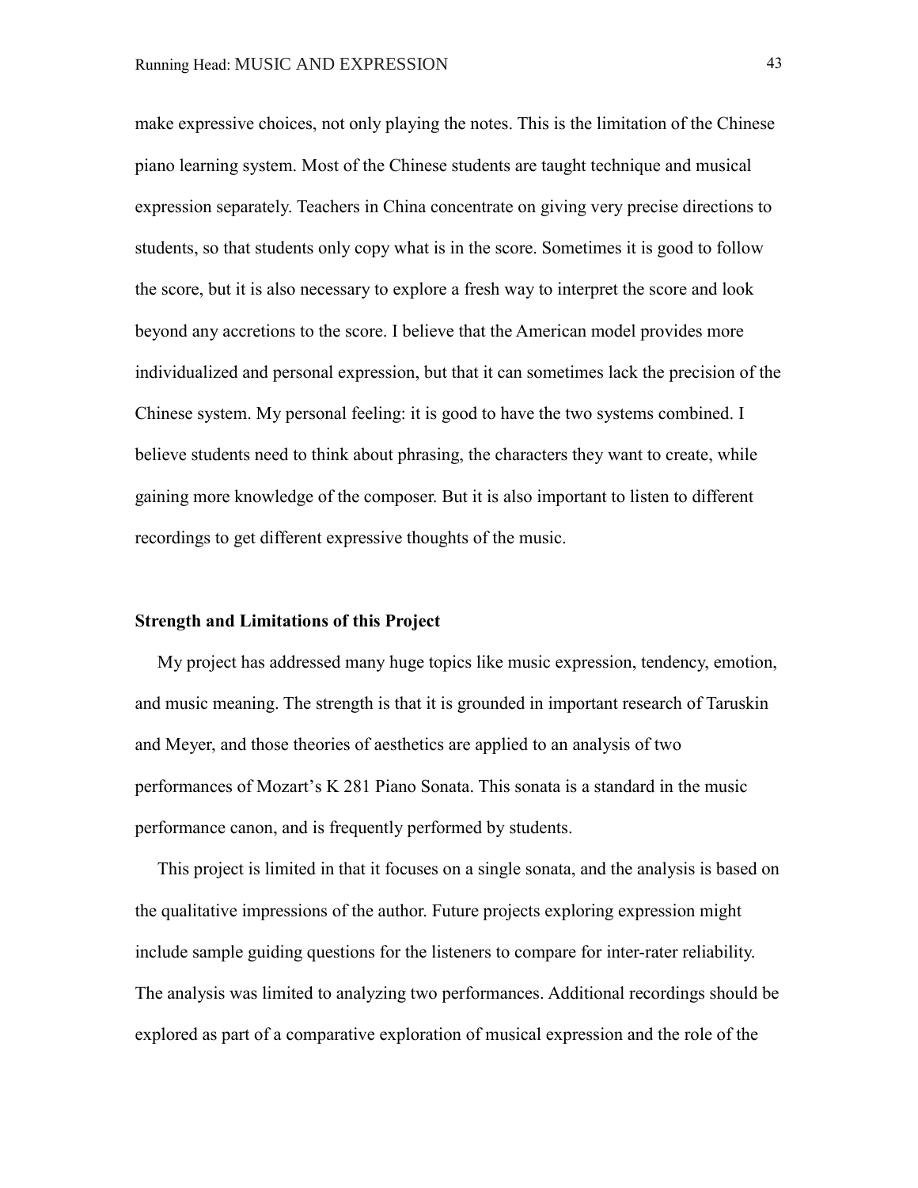make expressive choices, not only playing the notes. This is the limitation of the Chinese piano learning system. Most of the Chinese students are taught technique and musical expression separately. Teachers in China concentrate on giving very precise directions to students, so that students only copy what is in the score. Sometimes it is good to follow the score, but it is also necessary to explore a fresh way to interpret the score and look beyond any accretions to the score. I believe that the American model provides more individualized and personal expression, but that it can sometimes lack the precision of the Chinese system. My personal feeling: it is good to have the two systems combined. I believe students need to think about phrasing, the characters they want to create, while gaining more knowledge of the composer. But it is also important to listen to different recordings to get different expressive thoughts of the music.

### **Strength and Limitations of this Project**

 My project has addressed many huge topics like music expression, tendency, emotion, and music meaning. The strength is that it is grounded in important research of Taruskin and Meyer, and those theories of aesthetics are applied to an analysis of two performances of Mozart's K 281 Piano Sonata. This sonata is a standard in the music performance canon, and is frequently performed by students.

This project is limited in that it focuses on a single sonata, and the analysis is based on the qualitative impressions of the author. Future projects exploring expression might include sample guiding questions for the listeners to compare for inter-rater reliability. The analysis was limited to analyzing two performances. Additional recordings should be explored as part of a comparative exploration of musical expression and the role of the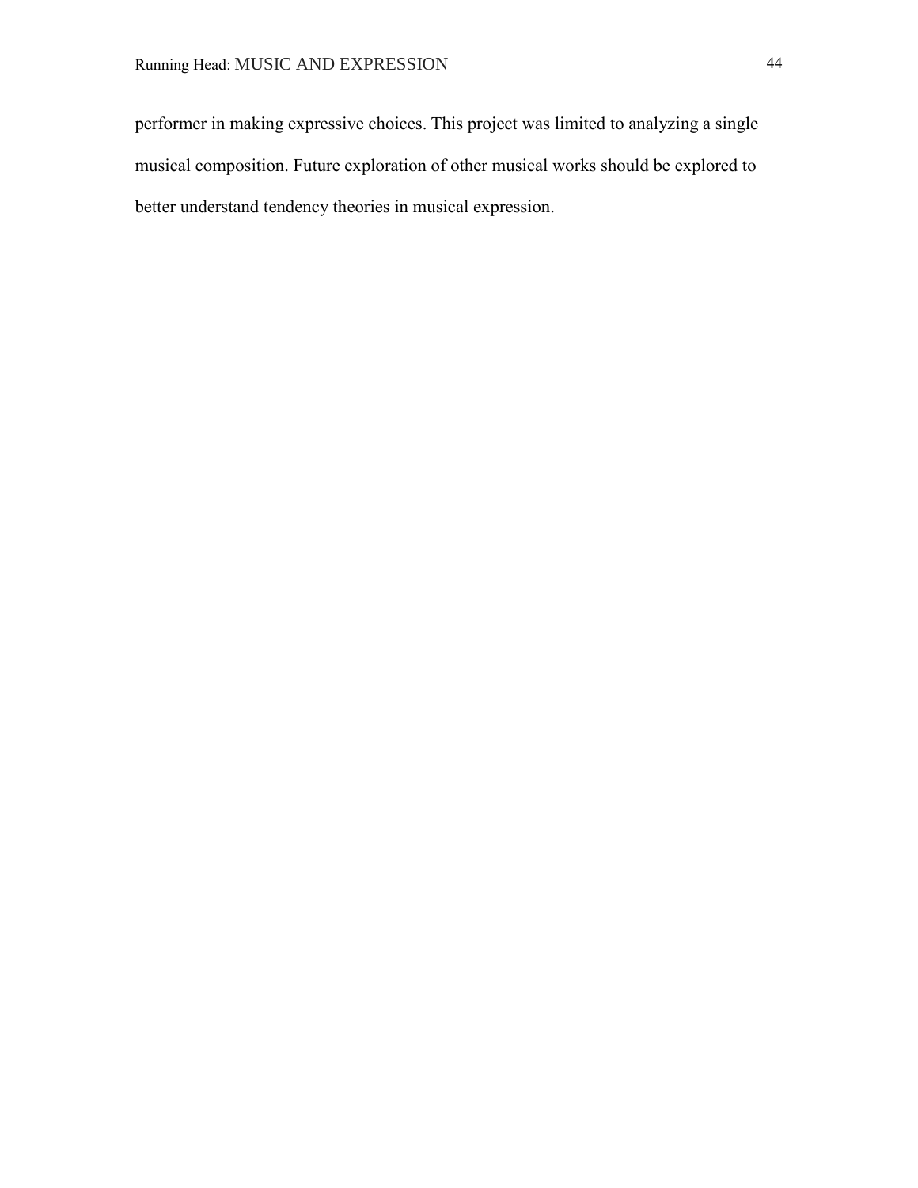performer in making expressive choices. This project was limited to analyzing a single musical composition. Future exploration of other musical works should be explored to better understand tendency theories in musical expression.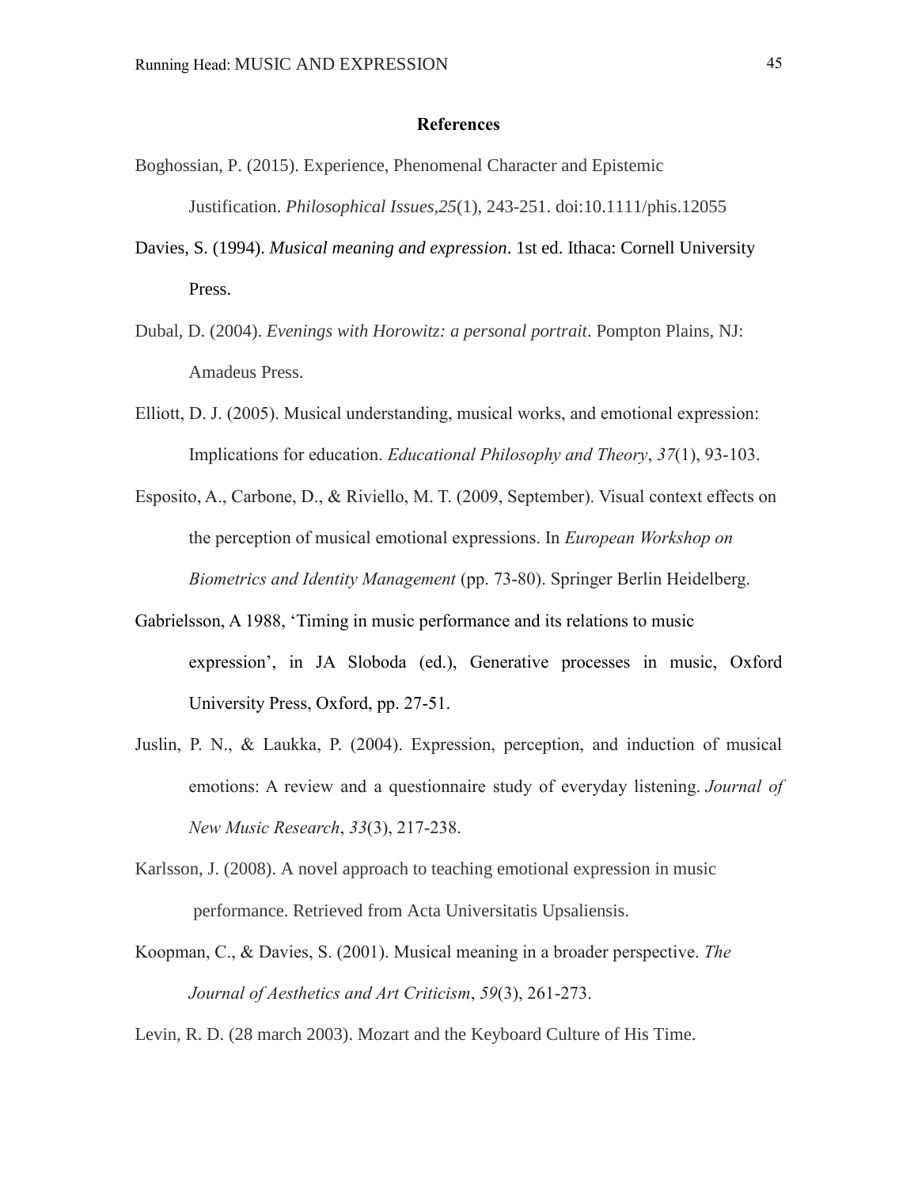## **References**

- Boghossian, P. (2015). Experience, Phenomenal Character and Epistemic Justification. *Philosophical Issues,25*(1), 243-251. doi:10.1111/phis.12055
- Davies, S. (1994). *Musical meaning and expression*. 1st ed. Ithaca: Cornell University Press.
- Dubal, D. (2004). *Evenings with Horowitz: a personal portrait*. Pompton Plains, NJ: Amadeus Press.
- Elliott, D. J. (2005). Musical understanding, musical works, and emotional expression: Implications for education. *Educational Philosophy and Theory*, *37*(1), 93-103.
- Esposito, A., Carbone, D., & Riviello, M. T. (2009, September). Visual context effects on the perception of musical emotional expressions. In *European Workshop on Biometrics and Identity Management* (pp. 73-80). Springer Berlin Heidelberg.
- Gabrielsson, A 1988, 'Timing in music performance and its relations to music expression', in JA Sloboda (ed.), Generative processes in music, Oxford University Press, Oxford, pp. 27-51.
- Juslin, P. N., & Laukka, P. (2004). Expression, perception, and induction of musical emotions: A review and a questionnaire study of everyday listening. *Journal of New Music Research*, *33*(3), 217-238.
- Karlsson, J. (2008). A novel approach to teaching emotional expression in music performance. Retrieved from Acta Universitatis Upsaliensis.
- Koopman, C., & Davies, S. (2001). Musical meaning in a broader perspective. *The Journal of Aesthetics and Art Criticism*, *59*(3), 261-273.
- Levin, R. D. (28 march 2003). Mozart and the Keyboard Culture of His Time.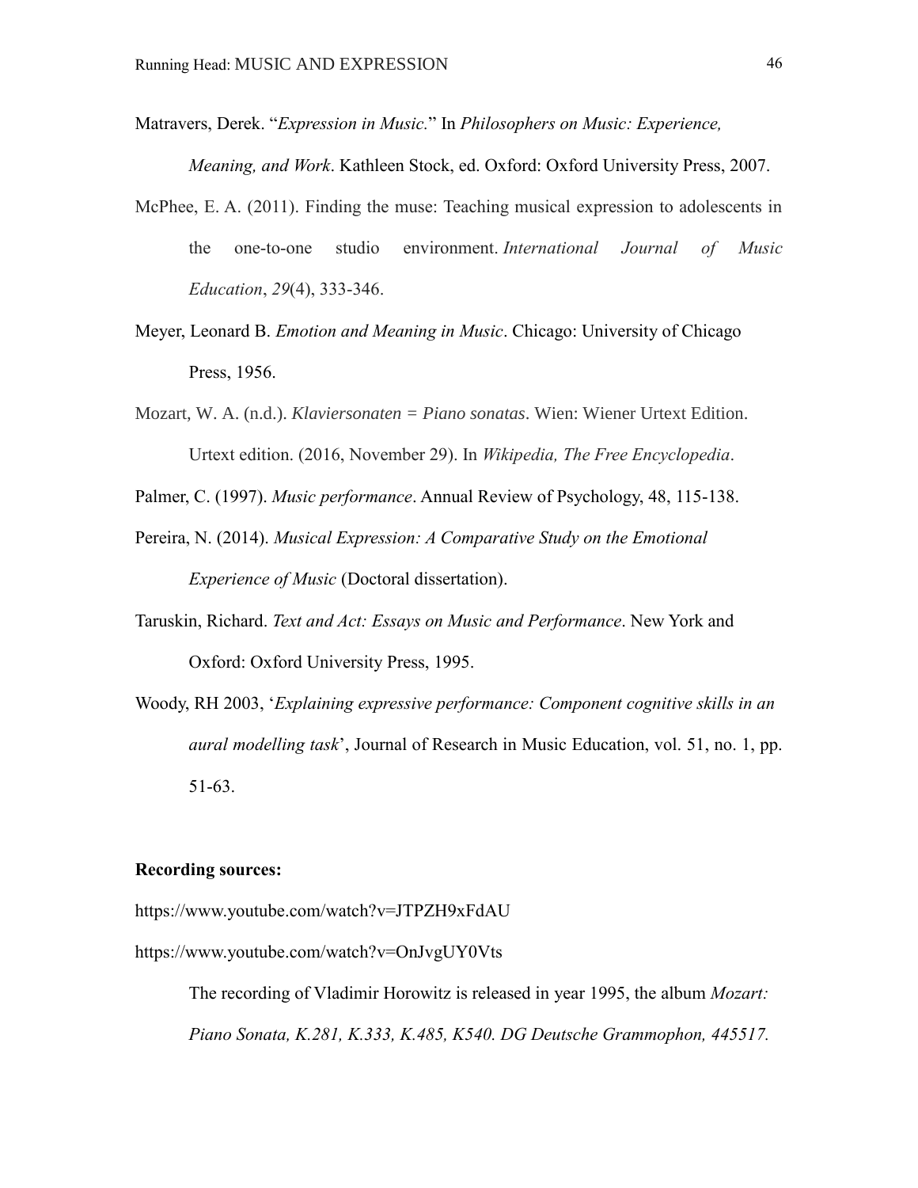Matravers, Derek. "*Expression in Music.*" In *Philosophers on Music: Experience, Meaning, and Work*. Kathleen Stock, ed. Oxford: Oxford University Press, 2007.

- McPhee, E. A. (2011). Finding the muse: Teaching musical expression to adolescents in the one-to-one studio environment. *International Journal of Music Education*, *29*(4), 333-346.
- Meyer, Leonard B. *Emotion and Meaning in Music*. Chicago: University of Chicago Press, 1956.
- Mozart, W. A. (n.d.). *Klaviersonaten = Piano sonatas*. Wien: Wiener Urtext Edition. Urtext edition. (2016, November 29). In *Wikipedia, The Free Encyclopedia*.

Palmer, C. (1997). *Music performance*. Annual Review of Psychology, 48, 115-138.

- Pereira, N. (2014). *Musical Expression: A Comparative Study on the Emotional Experience of Music* (Doctoral dissertation).
- Taruskin, Richard. *Text and Act: Essays on Music and Performance*. New York and Oxford: Oxford University Press, 1995.
- Woody, RH 2003, '*Explaining expressive performance: Component cognitive skills in an aural modelling task*', Journal of Research in Music Education, vol. 51, no. 1, pp. 51-63.

### **Recording sources:**

<https://www.youtube.com/watch?v=JTPZH9xFdAU>

https://www.youtube.com/watch?v=OnJvgUY0Vts

The recording of Vladimir Horowitz is released in year 1995, the album *Mozart: Piano Sonata, K.281, K.333, K.485, K540. DG Deutsche Grammophon, 445517.*